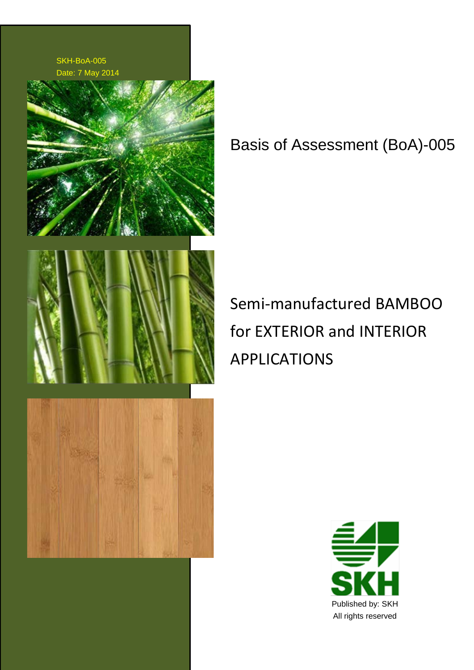

Basis of Assessment (BoA)-005

Semi-manufactured BAMBOO for EXTERIOR and INTERIOR APPLICATIONS

![](_page_0_Picture_3.jpeg)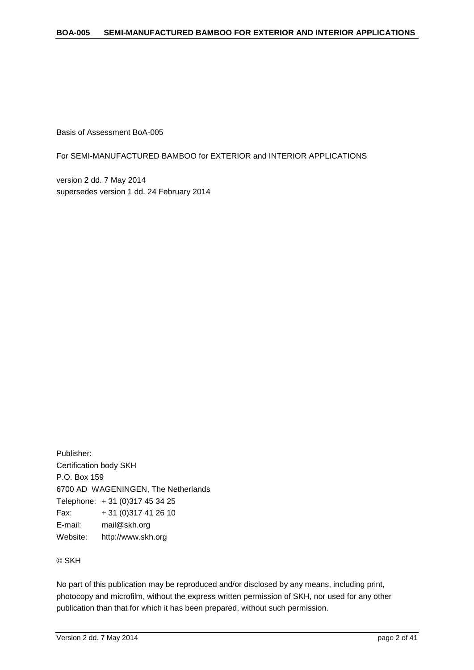Basis of Assessment BoA-005

For SEMI-MANUFACTURED BAMBOO for EXTERIOR and INTERIOR APPLICATIONS

version 2 dd. 7 May 2014 supersedes version 1 dd. 24 February 2014

Publisher: Certification body SKH P.O. Box 159 6700 AD WAGENINGEN, The Netherlands Telephone: + 31 (0)317 45 34 25 Fax: + 31 (0)317 41 26 10 E-mail: mail@skh.org Website: http://www.skh.org

© SKH

No part of this publication may be reproduced and/or disclosed by any means, including print, photocopy and microfilm, without the express written permission of SKH, nor used for any other publication than that for which it has been prepared, without such permission.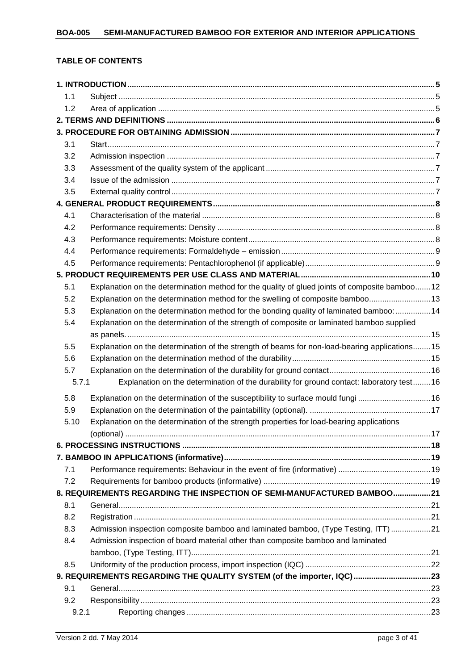## **TABLE OF CONTENTS**

| 1.1   |                                                                                                |  |
|-------|------------------------------------------------------------------------------------------------|--|
| 1.2   |                                                                                                |  |
|       |                                                                                                |  |
|       |                                                                                                |  |
| 3.1   |                                                                                                |  |
| 3.2   |                                                                                                |  |
| 3.3   |                                                                                                |  |
| 3.4   |                                                                                                |  |
| 3.5   |                                                                                                |  |
|       |                                                                                                |  |
| 4.1   |                                                                                                |  |
| 4.2   |                                                                                                |  |
| 4.3   |                                                                                                |  |
| 4.4   |                                                                                                |  |
| 4.5   |                                                                                                |  |
|       |                                                                                                |  |
| 5.1   | Explanation on the determination method for the quality of glued joints of composite bamboo12  |  |
| 5.2   | Explanation on the determination method for the swelling of composite bamboo 13                |  |
| 5.3   | Explanation on the determination method for the bonding quality of laminated bamboo:  14       |  |
| 5.4   | Explanation on the determination of the strength of composite or laminated bamboo supplied     |  |
|       |                                                                                                |  |
| 5.5   | Explanation on the determination of the strength of beams for non-load-bearing applications 15 |  |
| 5.6   |                                                                                                |  |
| 5.7   |                                                                                                |  |
| 5.7.1 | Explanation on the determination of the durability for ground contact: laboratory test 16      |  |
| 5.8   | Explanation on the determination of the susceptibility to surface mould fungi 16               |  |
| 5.9   |                                                                                                |  |
| 5.10  | Explanation on the determination of the strength properties for load-bearing applications      |  |
|       |                                                                                                |  |
|       |                                                                                                |  |
|       |                                                                                                |  |
| 7.1   |                                                                                                |  |
| 7.2   |                                                                                                |  |
|       | 8. REQUIREMENTS REGARDING THE INSPECTION OF SEMI-MANUFACTURED BAMBOO21                         |  |
| 8.1   |                                                                                                |  |
| 8.2   |                                                                                                |  |
| 8.3   | Admission inspection composite bamboo and laminated bamboo, (Type Testing, ITT)21              |  |
| 8.4   | Admission inspection of board material other than composite bamboo and laminated               |  |
|       |                                                                                                |  |
| 8.5   |                                                                                                |  |
|       | 9. REQUIREMENTS REGARDING THE QUALITY SYSTEM (of the importer, IQC) 23                         |  |
| 9.1   |                                                                                                |  |
| 9.2   |                                                                                                |  |
| 9.2.1 |                                                                                                |  |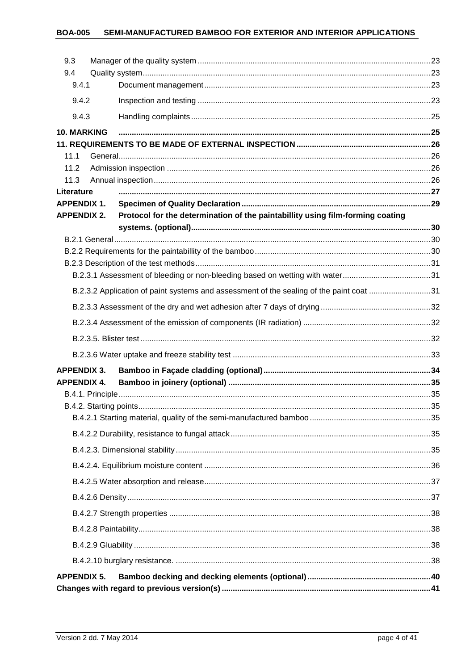#### SEMI-MANUFACTURED BAMBOO FOR EXTERIOR AND INTERIOR APPLICATIONS **BOA-005**

| 9.3                              |                                                                                         |  |
|----------------------------------|-----------------------------------------------------------------------------------------|--|
| 9.4                              |                                                                                         |  |
| 9.4.1                            |                                                                                         |  |
| 9.4.2                            |                                                                                         |  |
| 9.4.3                            |                                                                                         |  |
| <b>10. MARKING</b>               |                                                                                         |  |
|                                  |                                                                                         |  |
| 11.1                             |                                                                                         |  |
| 11.2                             |                                                                                         |  |
| 11.3                             |                                                                                         |  |
| Literature<br><b>APPENDIX 1.</b> |                                                                                         |  |
| <b>APPENDIX 2.</b>               | Protocol for the determination of the paintabillity using film-forming coating          |  |
|                                  |                                                                                         |  |
|                                  |                                                                                         |  |
|                                  |                                                                                         |  |
|                                  |                                                                                         |  |
|                                  |                                                                                         |  |
|                                  | B.2.3.2 Application of paint systems and assessment of the sealing of the paint coat 31 |  |
|                                  |                                                                                         |  |
|                                  |                                                                                         |  |
|                                  |                                                                                         |  |
|                                  |                                                                                         |  |
| <b>APPENDIX 3.</b>               |                                                                                         |  |
| <b>APPENDIX 4.</b>               |                                                                                         |  |
|                                  |                                                                                         |  |
|                                  |                                                                                         |  |
|                                  |                                                                                         |  |
|                                  |                                                                                         |  |
|                                  |                                                                                         |  |
|                                  |                                                                                         |  |
|                                  |                                                                                         |  |
|                                  |                                                                                         |  |
|                                  |                                                                                         |  |
|                                  |                                                                                         |  |
|                                  |                                                                                         |  |
| <b>APPENDIX 5.</b>               |                                                                                         |  |
|                                  |                                                                                         |  |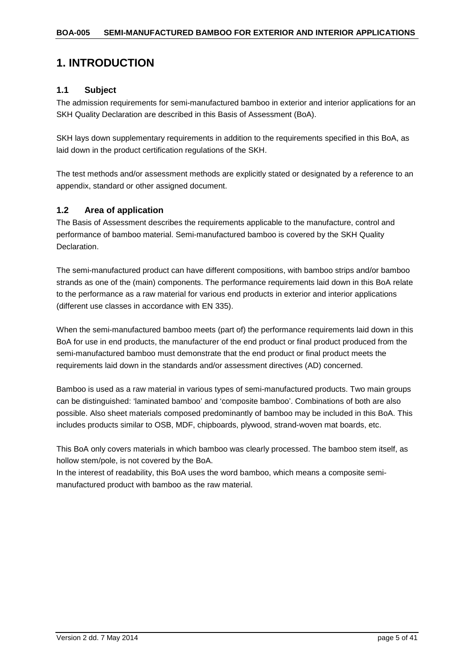## <span id="page-4-0"></span>**1. INTRODUCTION**

## <span id="page-4-1"></span>**1.1 Subject**

The admission requirements for semi-manufactured bamboo in exterior and interior applications for an SKH Quality Declaration are described in this Basis of Assessment (BoA).

SKH lays down supplementary requirements in addition to the requirements specified in this BoA, as laid down in the product certification regulations of the SKH.

The test methods and/or assessment methods are explicitly stated or designated by a reference to an appendix, standard or other assigned document.

## <span id="page-4-2"></span>**1.2 Area of application**

The Basis of Assessment describes the requirements applicable to the manufacture, control and performance of bamboo material. Semi-manufactured bamboo is covered by the SKH Quality Declaration.

The semi-manufactured product can have different compositions, with bamboo strips and/or bamboo strands as one of the (main) components. The performance requirements laid down in this BoA relate to the performance as a raw material for various end products in exterior and interior applications (different use classes in accordance with EN 335).

When the semi-manufactured bamboo meets (part of) the performance requirements laid down in this BoA for use in end products, the manufacturer of the end product or final product produced from the semi-manufactured bamboo must demonstrate that the end product or final product meets the requirements laid down in the standards and/or assessment directives (AD) concerned.

Bamboo is used as a raw material in various types of semi-manufactured products. Two main groups can be distinguished: 'laminated bamboo' and 'composite bamboo'. Combinations of both are also possible. Also sheet materials composed predominantly of bamboo may be included in this BoA. This includes products similar to OSB, MDF, chipboards, plywood, strand-woven mat boards, etc.

This BoA only covers materials in which bamboo was clearly processed. The bamboo stem itself, as hollow stem/pole, is not covered by the BoA.

In the interest of readability, this BoA uses the word bamboo, which means a composite semimanufactured product with bamboo as the raw material.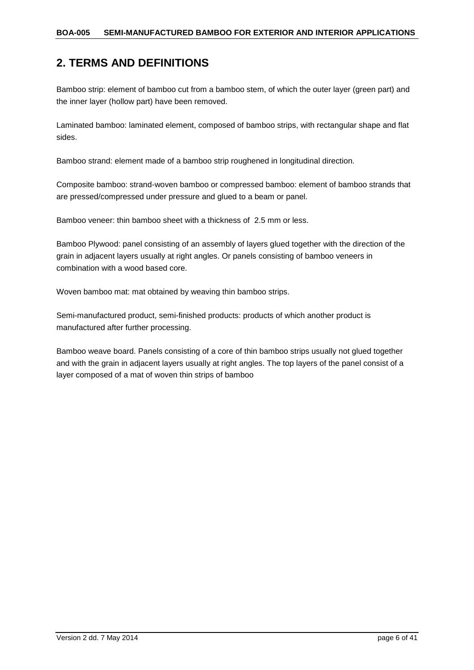## <span id="page-5-0"></span>**2. TERMS AND DEFINITIONS**

Bamboo strip: element of bamboo cut from a bamboo stem, of which the outer layer (green part) and the inner layer (hollow part) have been removed.

Laminated bamboo: laminated element, composed of bamboo strips, with rectangular shape and flat sides.

Bamboo strand: element made of a bamboo strip roughened in longitudinal direction.

Composite bamboo: strand-woven bamboo or compressed bamboo: element of bamboo strands that are pressed/compressed under pressure and glued to a beam or panel.

Bamboo veneer: thin bamboo sheet with a thickness of 2.5 mm or less.

Bamboo Plywood: panel consisting of an assembly of layers glued together with the direction of the grain in adjacent layers usually at right angles. Or panels consisting of bamboo veneers in combination with a wood based core.

Woven bamboo mat: mat obtained by weaving thin bamboo strips.

Semi-manufactured product, semi-finished products: products of which another product is manufactured after further processing.

Bamboo weave board. Panels consisting of a core of thin bamboo strips usually not glued together and with the grain in adjacent layers usually at right angles. The top layers of the panel consist of a layer composed of a mat of woven thin strips of bamboo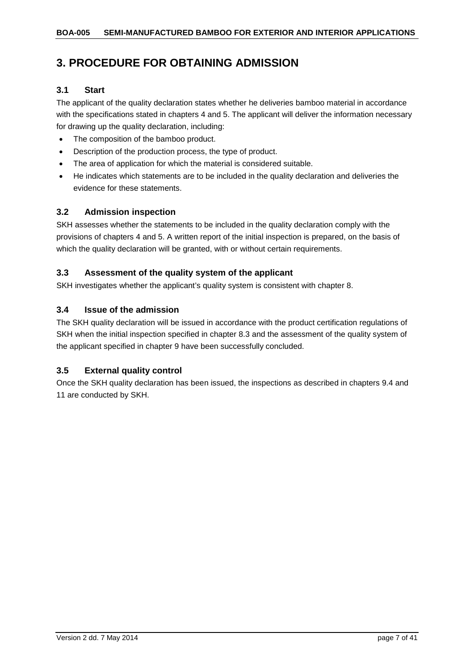## <span id="page-6-0"></span>**3. PROCEDURE FOR OBTAINING ADMISSION**

## <span id="page-6-1"></span>**3.1 Start**

The applicant of the quality declaration states whether he deliveries bamboo material in accordance with the specifications stated in chapters 4 and 5. The applicant will deliver the information necessary for drawing up the quality declaration, including:

- The composition of the bamboo product.
- Description of the production process, the type of product.
- The area of application for which the material is considered suitable.
- He indicates which statements are to be included in the quality declaration and deliveries the evidence for these statements.

## <span id="page-6-2"></span>**3.2 Admission inspection**

SKH assesses whether the statements to be included in the quality declaration comply with the provisions of chapters 4 and 5. A written report of the initial inspection is prepared, on the basis of which the quality declaration will be granted, with or without certain requirements.

## <span id="page-6-3"></span>**3.3 Assessment of the quality system of the applicant**

SKH investigates whether the applicant's quality system is consistent with chapter 8.

## <span id="page-6-4"></span>**3.4 Issue of the admission**

The SKH quality declaration will be issued in accordance with the product certification regulations of SKH when the initial inspection specified in chapter 8.3 and the assessment of the quality system of the applicant specified in chapter 9 have been successfully concluded.

## <span id="page-6-5"></span>**3.5 External quality control**

Once the SKH quality declaration has been issued, the inspections as described in chapters 9.4 and 11 are conducted by SKH.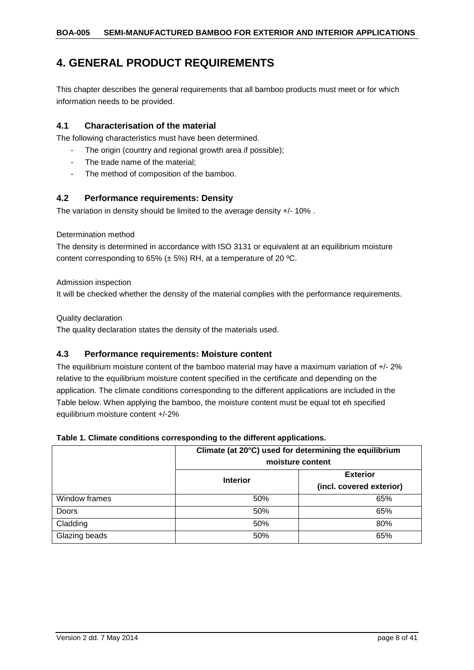## <span id="page-7-0"></span>**4. GENERAL PRODUCT REQUIREMENTS**

This chapter describes the general requirements that all bamboo products must meet or for which information needs to be provided.

## <span id="page-7-1"></span>**4.1 Characterisation of the material**

The following characteristics must have been determined.

- The origin (country and regional growth area if possible);
- The trade name of the material;
- The method of composition of the bamboo.

## <span id="page-7-2"></span>**4.2 Performance requirements: Density**

The variation in density should be limited to the average density +/- 10% .

#### Determination method

The density is determined in accordance with ISO 3131 or equivalent at an equilibrium moisture content corresponding to 65% ( $\pm$  5%) RH, at a temperature of 20 °C.

Admission inspection

It will be checked whether the density of the material complies with the performance requirements.

Quality declaration

The quality declaration states the density of the materials used.

## <span id="page-7-3"></span>**4.3 Performance requirements: Moisture content**

The equilibrium moisture content of the bamboo material may have a maximum variation of +/- 2% relative to the equilibrium moisture content specified in the certificate and depending on the application. The climate conditions corresponding to the different applications are included in the Table below. When applying the bamboo, the moisture content must be equal tot eh specified equilibrium moisture content +/-2%

#### **Table 1. Climate conditions corresponding to the different applications.**

|               | Climate (at 20°C) used for determining the equilibrium<br>moisture content |                                             |  |
|---------------|----------------------------------------------------------------------------|---------------------------------------------|--|
|               | <b>Interior</b>                                                            | <b>Exterior</b><br>(incl. covered exterior) |  |
| Window frames | 50%                                                                        | 65%                                         |  |
| <b>Doors</b>  | 50%                                                                        | 65%                                         |  |
| Cladding      | 50%                                                                        | 80%                                         |  |
| Glazing beads | 50%                                                                        | 65%                                         |  |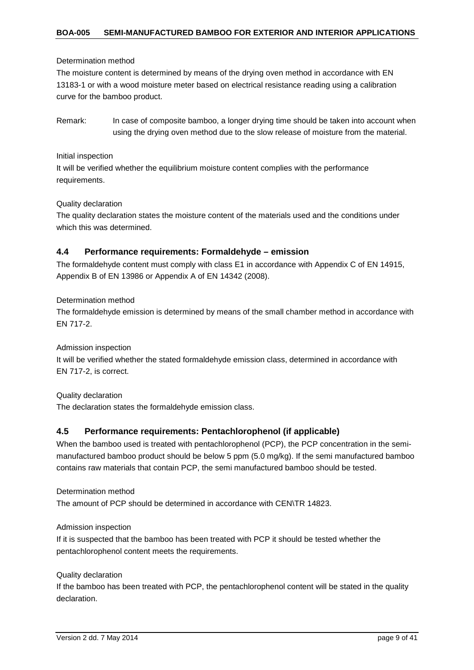#### Determination method

The moisture content is determined by means of the drying oven method in accordance with EN 13183-1 or with a wood moisture meter based on electrical resistance reading using a calibration curve for the bamboo product.

Remark: In case of composite bamboo, a longer drying time should be taken into account when using the drying oven method due to the slow release of moisture from the material.

#### Initial inspection

It will be verified whether the equilibrium moisture content complies with the performance requirements.

#### Quality declaration

The quality declaration states the moisture content of the materials used and the conditions under which this was determined.

#### <span id="page-8-0"></span>**4.4 Performance requirements: Formaldehyde – emission**

The formaldehyde content must comply with class E1 in accordance with Appendix C of EN 14915, Appendix B of EN 13986 or Appendix A of EN 14342 (2008).

#### Determination method

The formaldehyde emission is determined by means of the small chamber method in accordance with EN 717-2.

#### Admission inspection

It will be verified whether the stated formaldehyde emission class, determined in accordance with EN 717-2, is correct.

#### Quality declaration

The declaration states the formaldehyde emission class.

#### <span id="page-8-1"></span>**4.5 Performance requirements: Pentachlorophenol (if applicable)**

When the bamboo used is treated with pentachlorophenol (PCP), the PCP concentration in the semimanufactured bamboo product should be below 5 ppm (5.0 mg/kg). If the semi manufactured bamboo contains raw materials that contain PCP, the semi manufactured bamboo should be tested.

Determination method The amount of PCP should be determined in accordance with CEN\TR 14823.

#### Admission inspection

If it is suspected that the bamboo has been treated with PCP it should be tested whether the pentachlorophenol content meets the requirements.

#### Quality declaration

If the bamboo has been treated with PCP, the pentachlorophenol content will be stated in the quality declaration.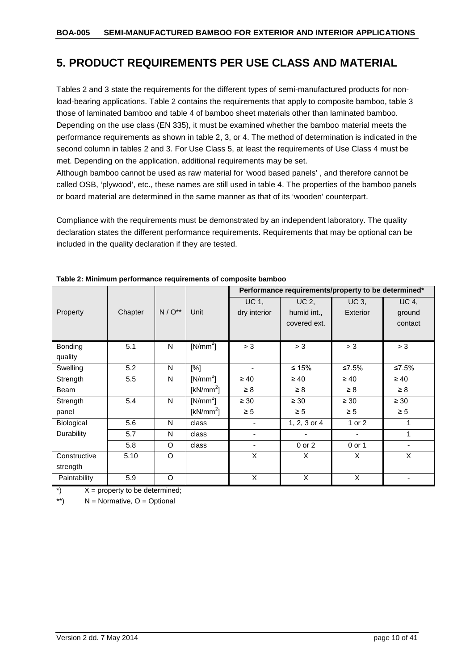## <span id="page-9-0"></span>**5. PRODUCT REQUIREMENTS PER USE CLASS AND MATERIAL**

Tables 2 and 3 state the requirements for the different types of semi-manufactured products for nonload-bearing applications. Table 2 contains the requirements that apply to composite bamboo, table 3 those of laminated bamboo and table 4 of bamboo sheet materials other than laminated bamboo. Depending on the use class (EN 335), it must be examined whether the bamboo material meets the performance requirements as shown in table 2, 3, or 4. The method of determination is indicated in the second column in tables 2 and 3. For Use Class 5, at least the requirements of Use Class 4 must be met. Depending on the application, additional requirements may be set.

Although bamboo cannot be used as raw material for 'wood based panels' , and therefore cannot be called OSB, 'plywood', etc., these names are still used in table 4. The properties of the bamboo panels or board material are determined in the same manner as that of its 'wooden' counterpart.

Compliance with the requirements must be demonstrated by an independent laboratory. The quality declaration states the different performance requirements. Requirements that may be optional can be included in the quality declaration if they are tested.

|              |         |              |              |                          | Performance requirements/property to be determined* |                          |                          |
|--------------|---------|--------------|--------------|--------------------------|-----------------------------------------------------|--------------------------|--------------------------|
|              |         |              |              | UC 1,                    | UC 2,                                               | <b>UC 3,</b>             | <b>UC 4,</b>             |
| Property     | Chapter | $N / O^{**}$ | Unit         | dry interior             | humid int.,                                         | Exterior                 | ground                   |
|              |         |              |              |                          | covered ext.                                        |                          | contact                  |
|              |         |              |              |                          |                                                     |                          |                          |
| Bonding      | 5.1     | N            | $[N/mm^2]$   | > 3                      | > 3                                                 | > 3                      | > 3                      |
| quality      |         |              |              |                          |                                                     |                          |                          |
| Swelling     | 5.2     | N            | [%]          | $\overline{\phantom{a}}$ | $≤ 15%$                                             | ≤7.5%                    | ≤7.5%                    |
| Strength     | 5.5     | N            | $[N/mm^2]$   | $\geq 40$                | $\geq 40$                                           | $\geq 40$                | $\geq 40$                |
| Beam         |         |              | [ $kN/mm2$ ] | $\geq 8$                 | $\geq 8$                                            | $\geq 8$                 | $\geq 8$                 |
| Strength     | 5.4     | N            | $[N/mm^2]$   | $\geq 30$                | $\geq 30$                                           | $\geq 30$                | $\geq 30$                |
| panel        |         |              | [ $kN/mm2$ ] | $\geq 5$                 | $\geq 5$                                            | $\geq 5$                 | $\geq 5$                 |
| Biological   | 5.6     | N            | class        |                          | 1, 2, 3 or 4                                        | 1 or 2                   | 1                        |
| Durability   | 5.7     | N            | class        | $\overline{\phantom{a}}$ | ٠                                                   | $\overline{\phantom{a}}$ | 1                        |
|              | 5.8     | O            | class        | $\overline{\phantom{a}}$ | $0$ or $2$                                          | 0 or 1                   | $\overline{\phantom{0}}$ |
| Constructive | 5.10    | $\circ$      |              | X                        | X                                                   | X                        | X                        |
| strength     |         |              |              |                          |                                                     |                          |                          |
| Paintability | 5.9     | O            |              | X                        | $\overline{X}$                                      | $\overline{X}$           | ٠                        |

**Table 2: Minimum performance requirements of composite bamboo**

 $\dot{x}$   $X =$  property to be determined;

\*\*)  $N =$  Normative,  $Q =$  Optional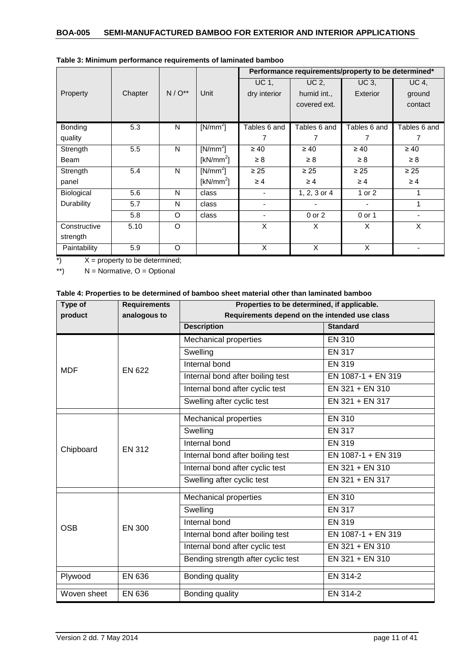|                   |         |            |                      |              | Performance requirements/property to be determined* |                 |                          |
|-------------------|---------|------------|----------------------|--------------|-----------------------------------------------------|-----------------|--------------------------|
|                   |         |            |                      | UC 1,        | UC 2,                                               | UC 3,           | <b>UC 4,</b>             |
| Property          | Chapter | $N/O^{**}$ | Unit                 | dry interior | humid int.,                                         | <b>Exterior</b> | ground                   |
|                   |         |            |                      |              | covered ext.                                        |                 | contact                  |
|                   |         |            |                      |              |                                                     |                 |                          |
| <b>Bonding</b>    | 5.3     | N          | $[N/mm^2]$           | Tables 6 and | Tables 6 and                                        | Tables 6 and    | Tables 6 and             |
| quality           |         |            |                      | 7            | 7                                                   | 7               | 7                        |
| Strength          | 5.5     | N          | $[N/mm^2]$           | $\geq 40$    | $\geq 40$                                           | $\geq 40$       | $\geq 40$                |
| Beam              |         |            | [ $kN/mm2$ ]         | $\geq 8$     | $\geq 8$                                            | $\geq 8$        | $\geq 8$                 |
| Strength          | 5.4     | N          | [N/mm <sup>2</sup> ] | $\geq 25$    | $\geq 25$                                           | $\geq 25$       | $\geq 25$                |
| panel             |         |            | [ $kN/mm2$ ]         | $\geq 4$     | $\geq 4$                                            | $\geq 4$        | $\geq 4$                 |
| <b>Biological</b> | 5.6     | N          | class                | ٠            | $1, 2, 3$ or $4$                                    | 1 or 2          |                          |
| Durability        | 5.7     | N          | class                | ٠            |                                                     |                 | 1                        |
|                   | 5.8     | $\circ$    | class                | ٠            | $0$ or $2$                                          | 0 or 1          | $\overline{\phantom{0}}$ |
| Constructive      | 5.10    | O          |                      | X            | X                                                   | X               | X                        |
| strength          |         |            |                      |              |                                                     |                 |                          |
| Paintability      | 5.9     | $\circ$    |                      | X            | X                                                   | X               |                          |

|  | Table 3: Minimum performance requirements of laminated bamboo |
|--|---------------------------------------------------------------|
|--|---------------------------------------------------------------|

\*)  $X =$  property to be determined;

\*\*)  $N =$  Normative,  $O =$  Optional

| Table 4: Properties to be determined of bamboo sheet material other than laminated bamboo |  |  |
|-------------------------------------------------------------------------------------------|--|--|
|-------------------------------------------------------------------------------------------|--|--|

| Type of     | <b>Requirements</b> | Properties to be determined, if applicable.                         |                    |  |
|-------------|---------------------|---------------------------------------------------------------------|--------------------|--|
| product     | analogous to        | Requirements depend on the intended use class<br><b>Description</b> | <b>Standard</b>    |  |
|             |                     |                                                                     |                    |  |
|             |                     | <b>Mechanical properties</b>                                        | <b>EN 310</b>      |  |
|             |                     | Swelling                                                            | <b>EN 317</b>      |  |
| <b>MDF</b>  | <b>EN 622</b>       | Internal bond                                                       | <b>EN 319</b>      |  |
|             |                     | Internal bond after boiling test                                    | EN 1087-1 + EN 319 |  |
|             |                     | Internal bond after cyclic test                                     | EN 321 + EN 310    |  |
|             |                     | Swelling after cyclic test                                          | EN 321 + EN 317    |  |
|             |                     | Mechanical properties                                               | <b>EN 310</b>      |  |
|             | <b>EN 312</b>       | Swelling                                                            | <b>EN 317</b>      |  |
| Chipboard   |                     | Internal bond                                                       | <b>EN 319</b>      |  |
|             |                     | Internal bond after boiling test                                    | EN 1087-1 + EN 319 |  |
|             |                     | Internal bond after cyclic test                                     | EN 321 + EN 310    |  |
|             |                     | Swelling after cyclic test                                          | EN 321 + EN 317    |  |
|             | <b>EN 300</b>       | Mechanical properties                                               | <b>EN 310</b>      |  |
|             |                     | Swelling                                                            | <b>EN 317</b>      |  |
| <b>OSB</b>  |                     | Internal bond                                                       | <b>EN 319</b>      |  |
|             |                     | Internal bond after boiling test                                    | EN 1087-1 + EN 319 |  |
|             |                     | Internal bond after cyclic test                                     | EN 321 + EN 310    |  |
|             |                     | Bending strength after cyclic test                                  | EN 321 + EN 310    |  |
| Plywood     | EN 636              | Bonding quality<br>EN 314-2                                         |                    |  |
| Woven sheet | EN 636              | Bonding quality                                                     | EN 314-2           |  |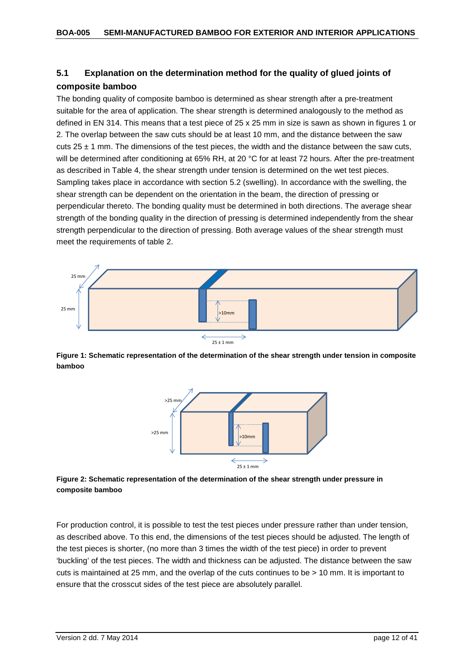## <span id="page-11-0"></span>**5.1 Explanation on the determination method for the quality of glued joints of composite bamboo**

The bonding quality of composite bamboo is determined as shear strength after a pre-treatment suitable for the area of application. The shear strength is determined analogously to the method as defined in EN 314. This means that a test piece of 25 x 25 mm in size is sawn as shown in figures 1 or 2. The overlap between the saw cuts should be at least 10 mm, and the distance between the saw  $cuts 25 ± 1 mm$ . The dimensions of the test pieces, the width and the distance between the saw cuts, will be determined after conditioning at 65% RH, at 20 °C for at least 72 hours. After the pre-treatment as described in Table 4, the shear strength under tension is determined on the wet test pieces. Sampling takes place in accordance with section 5.2 (swelling). In accordance with the swelling, the shear strength can be dependent on the orientation in the beam, the direction of pressing or perpendicular thereto. The bonding quality must be determined in both directions. The average shear strength of the bonding quality in the direction of pressing is determined independently from the shear strength perpendicular to the direction of pressing. Both average values of the shear strength must meet the requirements of table 2.

![](_page_11_Figure_3.jpeg)

**Figure 1: Schematic representation of the determination of the shear strength under tension in composite bamboo**

![](_page_11_Figure_5.jpeg)

**Figure 2: Schematic representation of the determination of the shear strength under pressure in composite bamboo**

For production control, it is possible to test the test pieces under pressure rather than under tension, as described above. To this end, the dimensions of the test pieces should be adjusted. The length of the test pieces is shorter, (no more than 3 times the width of the test piece) in order to prevent 'buckling' of the test pieces. The width and thickness can be adjusted. The distance between the saw cuts is maintained at 25 mm, and the overlap of the cuts continues to be > 10 mm. It is important to ensure that the crosscut sides of the test piece are absolutely parallel.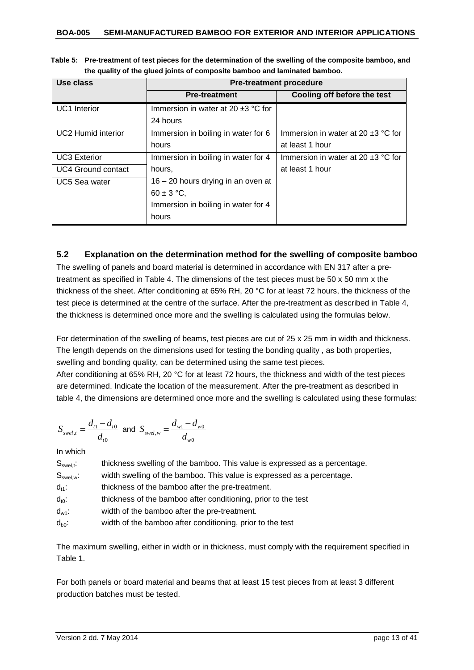| Table 5: Pre-treatment of test pieces for the determination of the swelling of the composite bamboo, and |
|----------------------------------------------------------------------------------------------------------|
| the quality of the glued joints of composite bamboo and laminated bamboo.                                |

| Use class                 | <b>Pre-treatment procedure</b>          |                                         |  |  |
|---------------------------|-----------------------------------------|-----------------------------------------|--|--|
|                           | <b>Pre-treatment</b>                    | Cooling off before the test             |  |  |
| <b>UC1</b> Interior       | Immersion in water at 20 $\pm$ 3 °C for |                                         |  |  |
|                           | 24 hours                                |                                         |  |  |
| <b>UC2 Humid interior</b> | Immersion in boiling in water for 6     | Immersion in water at 20 $\pm$ 3 °C for |  |  |
|                           | hours                                   | at least 1 hour                         |  |  |
| <b>UC3 Exterior</b>       | Immersion in boiling in water for 4     | Immersion in water at 20 $\pm$ 3 °C for |  |  |
| <b>UC4 Ground contact</b> | hours,                                  | at least 1 hour                         |  |  |
| <b>UC5 Sea water</b>      | $16 - 20$ hours drying in an oven at    |                                         |  |  |
|                           | $60 \pm 3$ °C,                          |                                         |  |  |
|                           | Immersion in boiling in water for 4     |                                         |  |  |
|                           | hours                                   |                                         |  |  |

## <span id="page-12-0"></span>**5.2 Explanation on the determination method for the swelling of composite bamboo**

The swelling of panels and board material is determined in accordance with EN 317 after a pretreatment as specified in Table 4. The dimensions of the test pieces must be 50 x 50 mm x the thickness of the sheet. After conditioning at 65% RH, 20 °C for at least 72 hours, the thickness of the test piece is determined at the centre of the surface. After the pre-treatment as described in Table 4, the thickness is determined once more and the swelling is calculated using the formulas below.

For determination of the swelling of beams, test pieces are cut of 25 x 25 mm in width and thickness. The length depends on the dimensions used for testing the bonding quality , as both properties, swelling and bonding quality, can be determined using the same test pieces. After conditioning at 65% RH, 20 °C for at least 72 hours, the thickness and width of the test pieces

are determined. Indicate the location of the measurement. After the pre-treatment as described in table 4, the dimensions are determined once more and the swelling is calculated using these formulas:

$$
S_{\text{swel},t} = \frac{d_{t1} - d_{t0}}{d_{t0}} \text{ and } S_{\text{swel},w} = \frac{d_{w1} - d_{w0}}{d_{w0}}
$$

In which

| $S_{\text{swel},t}$ . | thickness swelling of the bamboo. This value is expressed as a percentage. |
|-----------------------|----------------------------------------------------------------------------|
| $S_{\sf swel,w}.$     | width swelling of the bamboo. This value is expressed as a percentage.     |
| $d_{11}$ :            | thickness of the bamboo after the pre-treatment.                           |
| $d_{t0}$ :            | thickness of the bamboo after conditioning, prior to the test              |
| $d_{w1}$ :            | width of the bamboo after the pre-treatment.                               |
| $d_{b0}$ :            | width of the bamboo after conditioning, prior to the test                  |

The maximum swelling, either in width or in thickness, must comply with the requirement specified in Table 1.

<span id="page-12-1"></span>For both panels or board material and beams that at least 15 test pieces from at least 3 different production batches must be tested.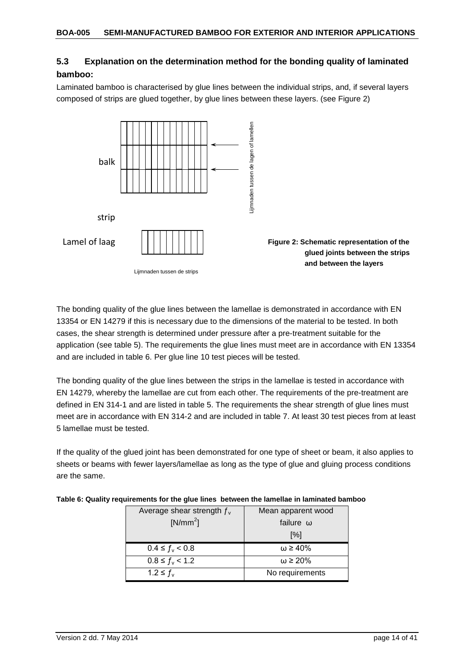## **5.3 Explanation on the determination method for the bonding quality of laminated bamboo:**

Laminated bamboo is characterised by glue lines between the individual strips, and, if several layers composed of strips are glued together, by glue lines between these layers. (see Figure 2)

![](_page_13_Figure_3.jpeg)

The bonding quality of the glue lines between the lamellae is demonstrated in accordance with EN 13354 or EN 14279 if this is necessary due to the dimensions of the material to be tested. In both cases, the shear strength is determined under pressure after a pre-treatment suitable for the application (see table 5). The requirements the glue lines must meet are in accordance with EN 13354 and are included in table 6. Per glue line 10 test pieces will be tested.

The bonding quality of the glue lines between the strips in the lamellae is tested in accordance with EN 14279, whereby the lamellae are cut from each other. The requirements of the pre-treatment are defined in EN 314-1 and are listed in table 5. The requirements the shear strength of glue lines must meet are in accordance with EN 314-2 and are included in table 7. At least 30 test pieces from at least 5 lamellae must be tested.

If the quality of the glued joint has been demonstrated for one type of sheet or beam, it also applies to sheets or beams with fewer layers/lamellae as long as the type of glue and gluing process conditions are the same.

| Average shear strength $f_{v}$ | Mean apparent wood |
|--------------------------------|--------------------|
| $[N/mm^2]$                     | failure $\omega$   |
|                                | $\lceil \% \rceil$ |
| $0.4 \le f_v < 0.8$            | $\omega \geq 40\%$ |
| $0.8 \le f_{\rm v} < 1.2$      | $\omega \geq 20\%$ |
| $1.2 \le f_{v}$                | No requirements    |

|  |  |  | Table 6: Quality requirements for the glue lines  between the lamellae in laminated bamboo |
|--|--|--|--------------------------------------------------------------------------------------------|
|  |  |  |                                                                                            |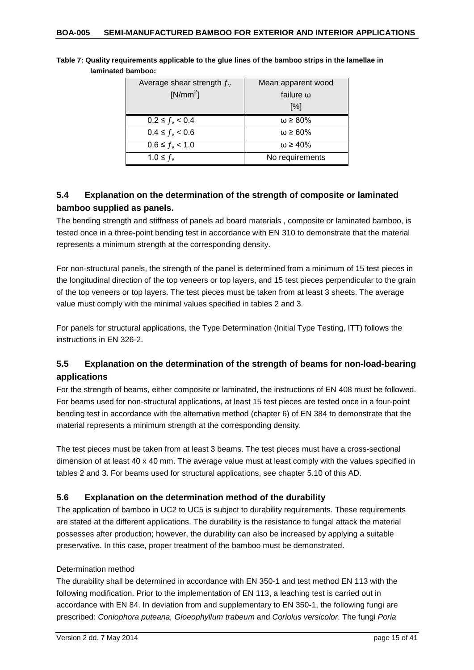| Average shear strength $f_{v}$ | Mean apparent wood |
|--------------------------------|--------------------|
| $[N/mm^2]$                     | failure $\omega$   |
|                                | [%]                |
| $0.2 \le f_{\rm v} < 0.4$      | $\omega \geq 80\%$ |
| $0.4 \le f_{\rm v} < 0.6$      | $\omega \geq 60\%$ |
| $0.6 \le f_{\rm v} < 1.0$      | $\omega \geq 40\%$ |
| $1.0 \leq f_{v}$               | No requirements    |

**Table 7: Quality requirements applicable to the glue lines of the bamboo strips in the lamellae in laminated bamboo:**

## <span id="page-14-0"></span>**5.4 Explanation on the determination of the strength of composite or laminated bamboo supplied as panels.**

The bending strength and stiffness of panels ad board materials , composite or laminated bamboo, is tested once in a three-point bending test in accordance with EN 310 to demonstrate that the material represents a minimum strength at the corresponding density.

For non-structural panels, the strength of the panel is determined from a minimum of 15 test pieces in the longitudinal direction of the top veneers or top layers, and 15 test pieces perpendicular to the grain of the top veneers or top layers. The test pieces must be taken from at least 3 sheets. The average value must comply with the minimal values specified in tables 2 and 3.

For panels for structural applications, the Type Determination (Initial Type Testing, ITT) follows the instructions in EN 326-2.

## <span id="page-14-1"></span>**5.5 Explanation on the determination of the strength of beams for non-load-bearing applications**

For the strength of beams, either composite or laminated, the instructions of EN 408 must be followed. For beams used for non-structural applications, at least 15 test pieces are tested once in a four-point bending test in accordance with the alternative method (chapter 6) of EN 384 to demonstrate that the material represents a minimum strength at the corresponding density.

The test pieces must be taken from at least 3 beams. The test pieces must have a cross-sectional dimension of at least 40 x 40 mm. The average value must at least comply with the values specified in tables 2 and 3. For beams used for structural applications, see chapter 5.10 of this AD.

## <span id="page-14-2"></span>**5.6 Explanation on the determination method of the durability**

The application of bamboo in UC2 to UC5 is subject to durability requirements. These requirements are stated at the different applications. The durability is the resistance to fungal attack the material possesses after production; however, the durability can also be increased by applying a suitable preservative. In this case, proper treatment of the bamboo must be demonstrated.

## Determination method

The durability shall be determined in accordance with EN 350-1 and test method EN 113 with the following modification. Prior to the implementation of EN 113, a leaching test is carried out in accordance with EN 84. In deviation from and supplementary to EN 350-1, the following fungi are prescribed: *Coniophora puteana, Gloeophyllum trabeum* and *Coriolus versicolor*. The fungi *Poria*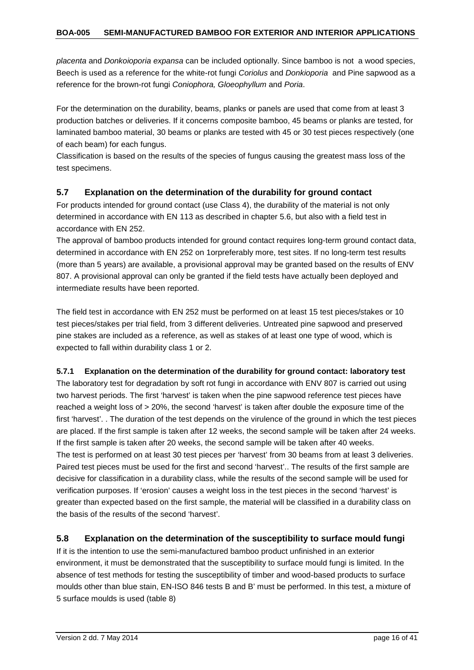*placenta* and *Donkoioporia expansa* can be included optionally. Since bamboo is not a wood species, Beech is used as a reference for the white-rot fungi *Coriolus* and *Donkioporia* and Pine sapwood as a reference for the brown-rot fungi *Coniophora, Gloeophyllum* and *Poria*.

For the determination on the durability, beams, planks or panels are used that come from at least 3 production batches or deliveries. If it concerns composite bamboo, 45 beams or planks are tested, for laminated bamboo material, 30 beams or planks are tested with 45 or 30 test pieces respectively (one of each beam) for each fungus.

Classification is based on the results of the species of fungus causing the greatest mass loss of the test specimens.

## <span id="page-15-0"></span>**5.7 Explanation on the determination of the durability for ground contact**

For products intended for ground contact (use Class 4), the durability of the material is not only determined in accordance with EN 113 as described in chapter 5.6, but also with a field test in accordance with EN 252.

The approval of bamboo products intended for ground contact requires long-term ground contact data, determined in accordance with EN 252 on 1orpreferably more, test sites. If no long-term test results (more than 5 years) are available, a provisional approval may be granted based on the results of ENV 807. A provisional approval can only be granted if the field tests have actually been deployed and intermediate results have been reported.

The field test in accordance with EN 252 must be performed on at least 15 test pieces/stakes or 10 test pieces/stakes per trial field, from 3 different deliveries. Untreated pine sapwood and preserved pine stakes are included as a reference, as well as stakes of at least one type of wood, which is expected to fall within durability class 1 or 2.

## <span id="page-15-1"></span>**5.7.1 Explanation on the determination of the durability for ground contact: laboratory test**

The laboratory test for degradation by soft rot fungi in accordance with ENV 807 is carried out using two harvest periods. The first 'harvest' is taken when the pine sapwood reference test pieces have reached a weight loss of > 20%, the second 'harvest' is taken after double the exposure time of the first 'harvest'. . The duration of the test depends on the virulence of the ground in which the test pieces are placed. If the first sample is taken after 12 weeks, the second sample will be taken after 24 weeks. If the first sample is taken after 20 weeks, the second sample will be taken after 40 weeks. The test is performed on at least 30 test pieces per 'harvest' from 30 beams from at least 3 deliveries. Paired test pieces must be used for the first and second 'harvest'.. The results of the first sample are decisive for classification in a durability class, while the results of the second sample will be used for verification purposes. If 'erosion' causes a weight loss in the test pieces in the second 'harvest' is greater than expected based on the first sample, the material will be classified in a durability class on the basis of the results of the second 'harvest'.

## <span id="page-15-2"></span>**5.8 Explanation on the determination of the susceptibility to surface mould fungi**

If it is the intention to use the semi-manufactured bamboo product unfinished in an exterior environment, it must be demonstrated that the susceptibility to surface mould fungi is limited. In the absence of test methods for testing the susceptibility of timber and wood-based products to surface moulds other than blue stain, EN-ISO 846 tests B and B' must be performed. In this test, a mixture of 5 surface moulds is used (table 8)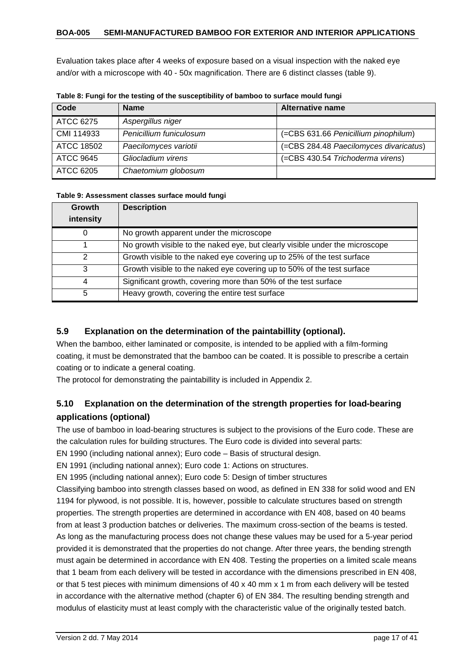Evaluation takes place after 4 weeks of exposure based on a visual inspection with the naked eye and/or with a microscope with 40 - 50x magnification. There are 6 distinct classes (table 9).

| Code       | <b>Name</b>             | Alternative name                       |
|------------|-------------------------|----------------------------------------|
| ATCC 6275  | Aspergillus niger       |                                        |
| CMI 114933 | Penicillium funiculosum | (=CBS 631.66 Penicillium pinophilum)   |
| ATCC 18502 | Paecilomyces variotii   | (=CBS 284.48 Paecilomyces divaricatus) |
| ATCC 9645  | Gliocladium virens      | (=CBS 430.54 Trichoderma virens)       |
| ATCC 6205  | Chaetomium globosum     |                                        |

**Table 8: Fungi for the testing of the susceptibility of bamboo to surface mould fungi**

#### **Table 9: Assessment classes surface mould fungi**

| <b>Growth</b> | <b>Description</b>                                                           |
|---------------|------------------------------------------------------------------------------|
| intensity     |                                                                              |
| 0             | No growth apparent under the microscope                                      |
|               | No growth visible to the naked eye, but clearly visible under the microscope |
| 2             | Growth visible to the naked eye covering up to 25% of the test surface       |
| 3             | Growth visible to the naked eye covering up to 50% of the test surface       |
| 4             | Significant growth, covering more than 50% of the test surface               |
| 5             | Heavy growth, covering the entire test surface                               |

## <span id="page-16-0"></span>**5.9 Explanation on the determination of the paintabillity (optional).**

When the bamboo, either laminated or composite, is intended to be applied with a film-forming coating, it must be demonstrated that the bamboo can be coated. It is possible to prescribe a certain coating or to indicate a general coating.

The protocol for demonstrating the paintabillity is included in Appendix 2.

## <span id="page-16-1"></span>**5.10 Explanation on the determination of the strength properties for load-bearing applications (optional)**

The use of bamboo in load-bearing structures is subject to the provisions of the Euro code. These are the calculation rules for building structures. The Euro code is divided into several parts:

EN 1990 (including national annex); Euro code – Basis of structural design.

EN 1991 (including national annex); Euro code 1: Actions on structures.

EN 1995 (including national annex); Euro code 5: Design of timber structures

Classifying bamboo into strength classes based on wood, as defined in EN 338 for solid wood and EN 1194 for plywood, is not possible. It is, however, possible to calculate structures based on strength properties. The strength properties are determined in accordance with EN 408, based on 40 beams from at least 3 production batches or deliveries. The maximum cross-section of the beams is tested. As long as the manufacturing process does not change these values may be used for a 5-year period provided it is demonstrated that the properties do not change. After three years, the bending strength must again be determined in accordance with EN 408. Testing the properties on a limited scale means that 1 beam from each delivery will be tested in accordance with the dimensions prescribed in EN 408, or that 5 test pieces with minimum dimensions of 40 x 40 mm x 1 m from each delivery will be tested in accordance with the alternative method (chapter 6) of EN 384. The resulting bending strength and modulus of elasticity must at least comply with the characteristic value of the originally tested batch.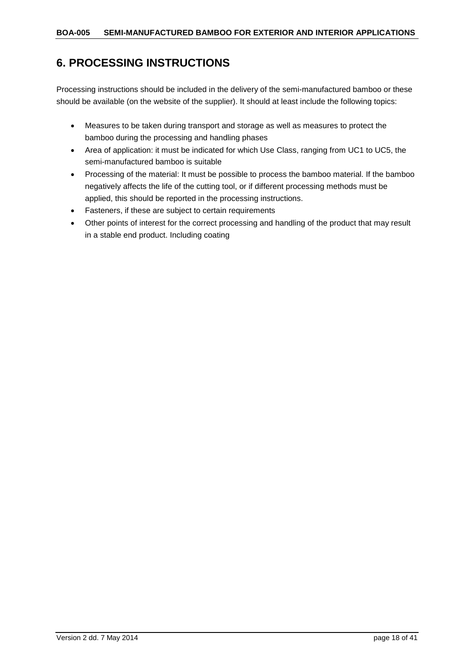## <span id="page-17-0"></span>**6. PROCESSING INSTRUCTIONS**

Processing instructions should be included in the delivery of the semi-manufactured bamboo or these should be available (on the website of the supplier). It should at least include the following topics:

- Measures to be taken during transport and storage as well as measures to protect the bamboo during the processing and handling phases
- Area of application: it must be indicated for which Use Class, ranging from UC1 to UC5, the semi-manufactured bamboo is suitable
- Processing of the material: It must be possible to process the bamboo material. If the bamboo negatively affects the life of the cutting tool, or if different processing methods must be applied, this should be reported in the processing instructions.
- Fasteners, if these are subject to certain requirements
- Other points of interest for the correct processing and handling of the product that may result in a stable end product. Including coating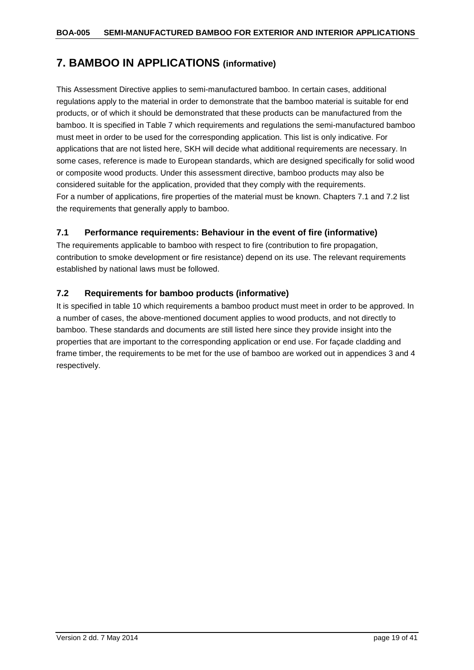## <span id="page-18-0"></span>**7. BAMBOO IN APPLICATIONS (informative)**

This Assessment Directive applies to semi-manufactured bamboo. In certain cases, additional regulations apply to the material in order to demonstrate that the bamboo material is suitable for end products, or of which it should be demonstrated that these products can be manufactured from the bamboo. It is specified in Table 7 which requirements and regulations the semi-manufactured bamboo must meet in order to be used for the corresponding application. This list is only indicative. For applications that are not listed here, SKH will decide what additional requirements are necessary. In some cases, reference is made to European standards, which are designed specifically for solid wood or composite wood products. Under this assessment directive, bamboo products may also be considered suitable for the application, provided that they comply with the requirements. For a number of applications, fire properties of the material must be known. Chapters 7.1 and 7.2 list the requirements that generally apply to bamboo.

## <span id="page-18-1"></span>**7.1 Performance requirements: Behaviour in the event of fire (informative)**

The requirements applicable to bamboo with respect to fire (contribution to fire propagation, contribution to smoke development or fire resistance) depend on its use. The relevant requirements established by national laws must be followed.

## <span id="page-18-2"></span>**7.2 Requirements for bamboo products (informative)**

It is specified in table 10 which requirements a bamboo product must meet in order to be approved. In a number of cases, the above-mentioned document applies to wood products, and not directly to bamboo. These standards and documents are still listed here since they provide insight into the properties that are important to the corresponding application or end use. For façade cladding and frame timber, the requirements to be met for the use of bamboo are worked out in appendices 3 and 4 respectively.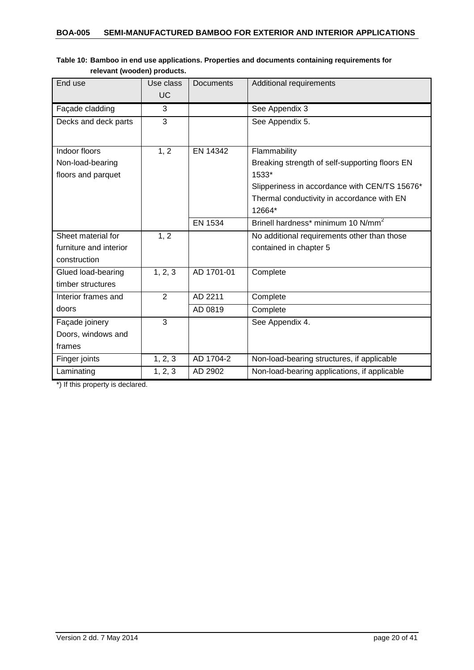| End use                | Use class<br>UC | <b>Documents</b> | Additional requirements                        |
|------------------------|-----------------|------------------|------------------------------------------------|
|                        |                 |                  |                                                |
| Façade cladding        | 3               |                  | See Appendix 3                                 |
| Decks and deck parts   | 3               |                  | See Appendix 5.                                |
|                        |                 |                  |                                                |
| Indoor floors          | 1, 2            | EN 14342         | Flammability                                   |
| Non-load-bearing       |                 |                  | Breaking strength of self-supporting floors EN |
| floors and parquet     |                 |                  | 1533*                                          |
|                        |                 |                  | Slipperiness in accordance with CEN/TS 15676*  |
|                        |                 |                  | Thermal conductivity in accordance with EN     |
|                        |                 |                  | 12664*                                         |
|                        |                 | <b>EN 1534</b>   | Brinell hardness* minimum 10 N/mm <sup>2</sup> |
| Sheet material for     | 1, 2            |                  | No additional requirements other than those    |
| furniture and interior |                 |                  | contained in chapter 5                         |
| construction           |                 |                  |                                                |
| Glued load-bearing     | 1, 2, 3         | AD 1701-01       | Complete                                       |
| timber structures      |                 |                  |                                                |
| Interior frames and    | $\overline{2}$  | AD 2211          | Complete                                       |
| doors                  |                 | AD 0819          | Complete                                       |
| Façade joinery         | 3               |                  | See Appendix 4.                                |
| Doors, windows and     |                 |                  |                                                |
| frames                 |                 |                  |                                                |
| Finger joints          | 1, 2, 3         | AD 1704-2        | Non-load-bearing structures, if applicable     |
| Laminating             | 1, 2, 3         | AD 2902          | Non-load-bearing applications, if applicable   |

## **Table 10: Bamboo in end use applications. Properties and documents containing requirements for relevant (wooden) products.**

\*) If this property is declared.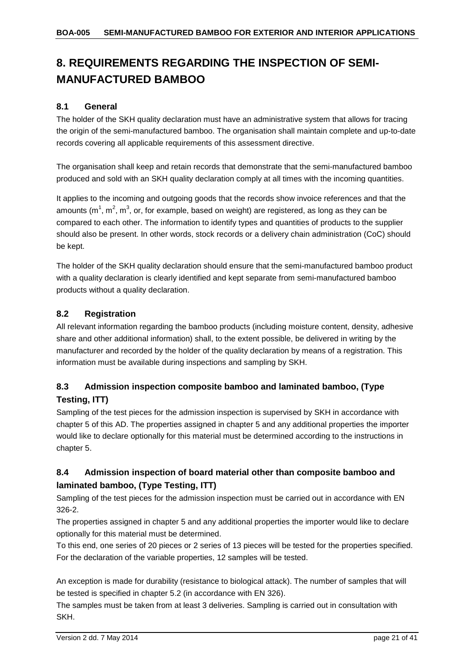# <span id="page-20-0"></span>**8. REQUIREMENTS REGARDING THE INSPECTION OF SEMI-MANUFACTURED BAMBOO**

## <span id="page-20-1"></span>**8.1 General**

The holder of the SKH quality declaration must have an administrative system that allows for tracing the origin of the semi-manufactured bamboo. The organisation shall maintain complete and up-to-date records covering all applicable requirements of this assessment directive.

The organisation shall keep and retain records that demonstrate that the semi-manufactured bamboo produced and sold with an SKH quality declaration comply at all times with the incoming quantities.

It applies to the incoming and outgoing goods that the records show invoice references and that the amounts (m<sup>1</sup>, m<sup>2</sup>, m<sup>3</sup>, or, for example, based on weight) are registered, as long as they can be compared to each other. The information to identify types and quantities of products to the supplier should also be present. In other words, stock records or a delivery chain administration (CoC) should be kept.

The holder of the SKH quality declaration should ensure that the semi-manufactured bamboo product with a quality declaration is clearly identified and kept separate from semi-manufactured bamboo products without a quality declaration.

## <span id="page-20-2"></span>**8.2 Registration**

All relevant information regarding the bamboo products (including moisture content, density, adhesive share and other additional information) shall, to the extent possible, be delivered in writing by the manufacturer and recorded by the holder of the quality declaration by means of a registration. This information must be available during inspections and sampling by SKH.

## <span id="page-20-3"></span>**8.3 Admission inspection composite bamboo and laminated bamboo, (Type Testing, ITT)**

Sampling of the test pieces for the admission inspection is supervised by SKH in accordance with chapter 5 of this AD. The properties assigned in chapter 5 and any additional properties the importer would like to declare optionally for this material must be determined according to the instructions in chapter 5.

## <span id="page-20-4"></span>**8.4 Admission inspection of board material other than composite bamboo and laminated bamboo, (Type Testing, ITT)**

Sampling of the test pieces for the admission inspection must be carried out in accordance with EN 326-2.

The properties assigned in chapter 5 and any additional properties the importer would like to declare optionally for this material must be determined.

To this end, one series of 20 pieces or 2 series of 13 pieces will be tested for the properties specified. For the declaration of the variable properties, 12 samples will be tested.

An exception is made for durability (resistance to biological attack). The number of samples that will be tested is specified in chapter 5.2 (in accordance with EN 326).

The samples must be taken from at least 3 deliveries. Sampling is carried out in consultation with SKH.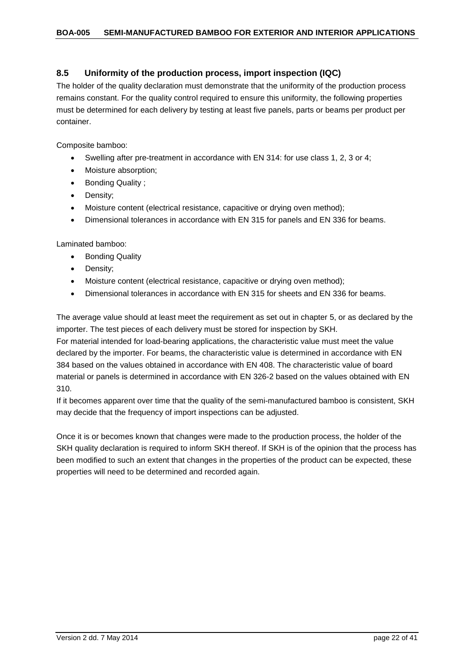## <span id="page-21-0"></span>**8.5 Uniformity of the production process, import inspection (IQC)**

The holder of the quality declaration must demonstrate that the uniformity of the production process remains constant. For the quality control required to ensure this uniformity, the following properties must be determined for each delivery by testing at least five panels, parts or beams per product per container.

Composite bamboo:

- Swelling after pre-treatment in accordance with EN 314: for use class 1, 2, 3 or 4;
- Moisture absorption;
- Bonding Quality ;
- Density;
- Moisture content (electrical resistance, capacitive or drying oven method);
- Dimensional tolerances in accordance with EN 315 for panels and EN 336 for beams.

Laminated bamboo:

- Bonding Quality
- Density;
- Moisture content (electrical resistance, capacitive or drying oven method);
- Dimensional tolerances in accordance with EN 315 for sheets and EN 336 for beams.

The average value should at least meet the requirement as set out in chapter 5, or as declared by the importer. The test pieces of each delivery must be stored for inspection by SKH.

For material intended for load-bearing applications, the characteristic value must meet the value declared by the importer. For beams, the characteristic value is determined in accordance with EN 384 based on the values obtained in accordance with EN 408. The characteristic value of board material or panels is determined in accordance with EN 326-2 based on the values obtained with EN 310.

If it becomes apparent over time that the quality of the semi-manufactured bamboo is consistent, SKH may decide that the frequency of import inspections can be adjusted.

Once it is or becomes known that changes were made to the production process, the holder of the SKH quality declaration is required to inform SKH thereof. If SKH is of the opinion that the process has been modified to such an extent that changes in the properties of the product can be expected, these properties will need to be determined and recorded again.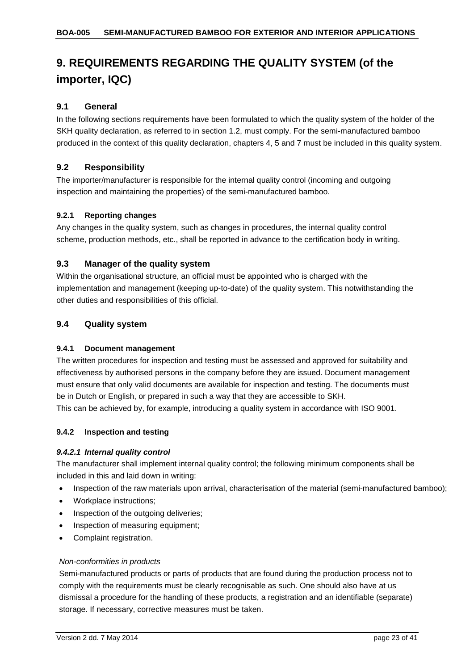# <span id="page-22-0"></span>**9. REQUIREMENTS REGARDING THE QUALITY SYSTEM (of the importer, IQC)**

## <span id="page-22-1"></span>**9.1 General**

In the following sections requirements have been formulated to which the quality system of the holder of the SKH quality declaration, as referred to in section 1.2, must comply. For the semi-manufactured bamboo produced in the context of this quality declaration, chapters 4, 5 and 7 must be included in this quality system.

## <span id="page-22-2"></span>**9.2 Responsibility**

The importer/manufacturer is responsible for the internal quality control (incoming and outgoing inspection and maintaining the properties) of the semi-manufactured bamboo.

#### <span id="page-22-3"></span>**9.2.1 Reporting changes**

Any changes in the quality system, such as changes in procedures, the internal quality control scheme, production methods, etc., shall be reported in advance to the certification body in writing.

## <span id="page-22-4"></span>**9.3 Manager of the quality system**

Within the organisational structure, an official must be appointed who is charged with the implementation and management (keeping up-to-date) of the quality system. This notwithstanding the other duties and responsibilities of this official.

## <span id="page-22-5"></span>**9.4 Quality system**

#### <span id="page-22-6"></span>**9.4.1 Document management**

The written procedures for inspection and testing must be assessed and approved for suitability and effectiveness by authorised persons in the company before they are issued. Document management must ensure that only valid documents are available for inspection and testing. The documents must be in Dutch or English, or prepared in such a way that they are accessible to SKH. This can be achieved by, for example, introducing a quality system in accordance with ISO 9001.

#### <span id="page-22-7"></span>**9.4.2 Inspection and testing**

#### *9.4.2.1 Internal quality control*

The manufacturer shall implement internal quality control; the following minimum components shall be included in this and laid down in writing:

- Inspection of the raw materials upon arrival, characterisation of the material (semi-manufactured bamboo);
- Workplace instructions;
- Inspection of the outgoing deliveries;
- Inspection of measuring equipment;
- Complaint registration.

#### *Non-conformities in products*

Semi-manufactured products or parts of products that are found during the production process not to comply with the requirements must be clearly recognisable as such. One should also have at us dismissal a procedure for the handling of these products, a registration and an identifiable (separate) storage. If necessary, corrective measures must be taken.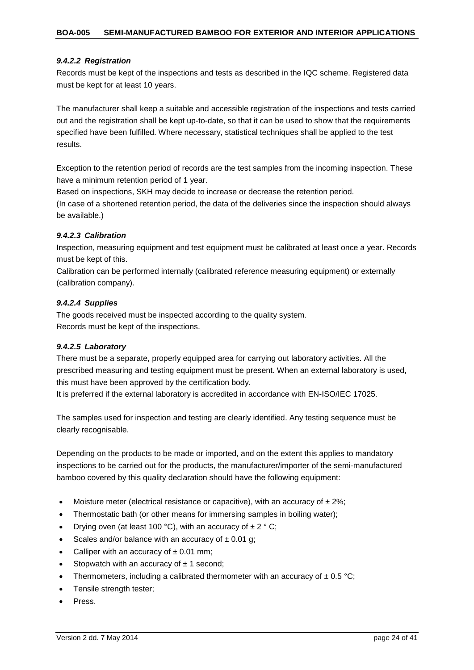#### *9.4.2.2 Registration*

Records must be kept of the inspections and tests as described in the IQC scheme. Registered data must be kept for at least 10 years.

The manufacturer shall keep a suitable and accessible registration of the inspections and tests carried out and the registration shall be kept up-to-date, so that it can be used to show that the requirements specified have been fulfilled. Where necessary, statistical techniques shall be applied to the test results.

Exception to the retention period of records are the test samples from the incoming inspection. These have a minimum retention period of 1 year.

Based on inspections, SKH may decide to increase or decrease the retention period.

(In case of a shortened retention period, the data of the deliveries since the inspection should always be available.)

#### *9.4.2.3 Calibration*

Inspection, measuring equipment and test equipment must be calibrated at least once a year. Records must be kept of this.

Calibration can be performed internally (calibrated reference measuring equipment) or externally (calibration company).

#### *9.4.2.4 Supplies*

The goods received must be inspected according to the quality system. Records must be kept of the inspections.

#### *9.4.2.5 Laboratory*

There must be a separate, properly equipped area for carrying out laboratory activities. All the prescribed measuring and testing equipment must be present. When an external laboratory is used, this must have been approved by the certification body.

It is preferred if the external laboratory is accredited in accordance with EN-ISO/IEC 17025.

The samples used for inspection and testing are clearly identified. Any testing sequence must be clearly recognisable.

Depending on the products to be made or imported, and on the extent this applies to mandatory inspections to be carried out for the products, the manufacturer/importer of the semi-manufactured bamboo covered by this quality declaration should have the following equipment:

- Moisture meter (electrical resistance or capacitive), with an accuracy of  $\pm 2\%$ ;
- Thermostatic bath (or other means for immersing samples in boiling water);
- Drying oven (at least 100 °C), with an accuracy of  $\pm 2$  ° C;
- Scales and/or balance with an accuracy of  $\pm$  0.01 g;
- Calliper with an accuracy of  $\pm$  0.01 mm;
- Stopwatch with an accuracy of  $\pm$  1 second;
- Thermometers, including a calibrated thermometer with an accuracy of  $\pm 0.5$  °C;
- Tensile strength tester;
- Press.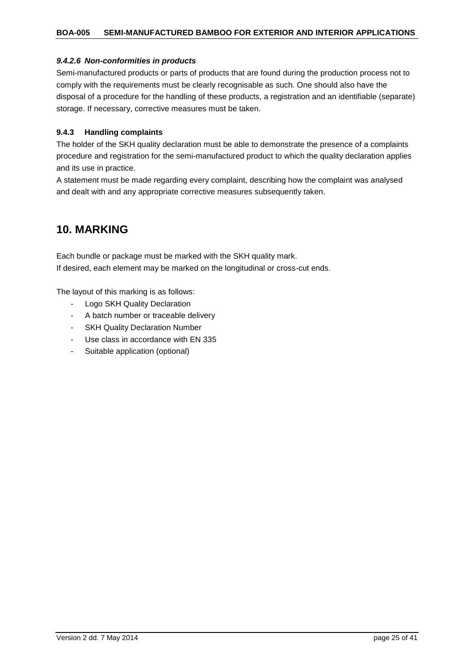#### *9.4.2.6 Non-conformities in products*

Semi-manufactured products or parts of products that are found during the production process not to comply with the requirements must be clearly recognisable as such. One should also have the disposal of a procedure for the handling of these products, a registration and an identifiable (separate) storage. If necessary, corrective measures must be taken.

#### <span id="page-24-0"></span>**9.4.3 Handling complaints**

The holder of the SKH quality declaration must be able to demonstrate the presence of a complaints procedure and registration for the semi-manufactured product to which the quality declaration applies and its use in practice.

A statement must be made regarding every complaint, describing how the complaint was analysed and dealt with and any appropriate corrective measures subsequently taken.

## <span id="page-24-1"></span>**10. MARKING**

Each bundle or package must be marked with the SKH quality mark. If desired, each element may be marked on the longitudinal or cross-cut ends.

The layout of this marking is as follows:

- Logo SKH Quality Declaration
- A batch number or traceable delivery
- SKH Quality Declaration Number
- Use class in accordance with EN 335
- Suitable application (optional)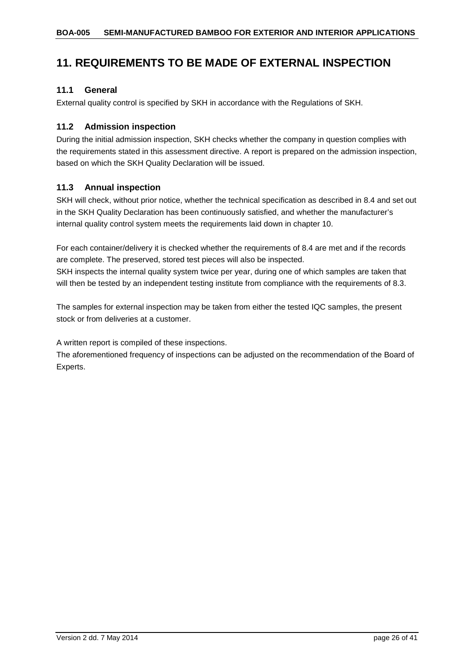## <span id="page-25-0"></span>**11. REQUIREMENTS TO BE MADE OF EXTERNAL INSPECTION**

## <span id="page-25-1"></span>**11.1 General**

External quality control is specified by SKH in accordance with the Regulations of SKH.

## <span id="page-25-2"></span>**11.2 Admission inspection**

During the initial admission inspection, SKH checks whether the company in question complies with the requirements stated in this assessment directive. A report is prepared on the admission inspection, based on which the SKH Quality Declaration will be issued.

## <span id="page-25-3"></span>**11.3 Annual inspection**

SKH will check, without prior notice, whether the technical specification as described in 8.4 and set out in the SKH Quality Declaration has been continuously satisfied, and whether the manufacturer's internal quality control system meets the requirements laid down in chapter 10.

For each container/delivery it is checked whether the requirements of 8.4 are met and if the records are complete. The preserved, stored test pieces will also be inspected.

SKH inspects the internal quality system twice per year, during one of which samples are taken that will then be tested by an independent testing institute from compliance with the requirements of 8.3.

The samples for external inspection may be taken from either the tested IQC samples, the present stock or from deliveries at a customer.

A written report is compiled of these inspections.

The aforementioned frequency of inspections can be adjusted on the recommendation of the Board of Experts.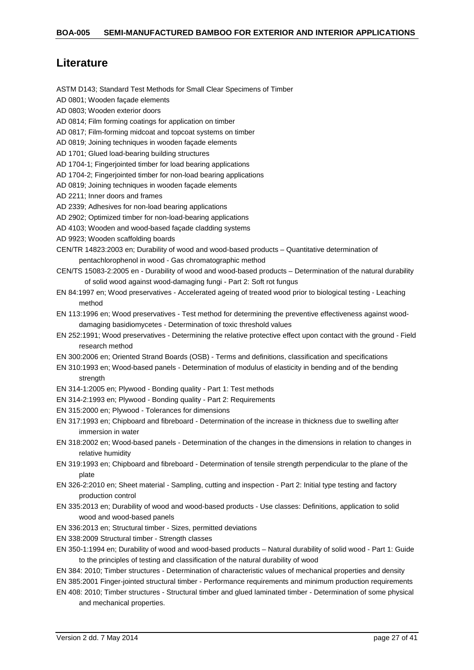## <span id="page-26-0"></span>**Literature**

ASTM D143; Standard Test Methods for Small Clear Specimens of Timber AD 0801; Wooden façade elements AD 0803; Wooden exterior doors AD 0814; Film forming coatings for application on timber AD 0817; Film-forming midcoat and topcoat systems on timber AD 0819; Joining techniques in wooden façade elements AD 1701; Glued load-bearing building structures AD 1704-1; Fingerjointed timber for load bearing applications AD 1704-2; Fingerjointed timber for non-load bearing applications AD 0819; Joining techniques in wooden façade elements AD 2211; Inner doors and frames AD 2339; Adhesives for non-load bearing applications AD 2902; Optimized timber for non-load-bearing applications AD 4103; Wooden and wood-based façade cladding systems AD 9923; Wooden scaffolding boards CEN/TR 14823:2003 en; Durability of wood and wood-based products – Quantitative determination of pentachlorophenol in wood - Gas chromatographic method CEN/TS 15083-2:2005 en - Durability of wood and wood-based products – Determination of the natural durability of solid wood against wood-damaging fungi - Part 2: Soft rot fungus EN 84:1997 en; Wood preservatives - Accelerated ageing of treated wood prior to biological testing - Leaching method EN 113:1996 en; Wood preservatives - Test method for determining the preventive effectiveness against wooddamaging basidiomycetes - Determination of toxic threshold values EN 252:1991; Wood preservatives - Determining the relative protective effect upon contact with the ground - Field research method EN 300:2006 en; Oriented Strand Boards (OSB) - Terms and definitions, classification and specifications EN 310:1993 en; Wood-based panels - Determination of modulus of elasticity in bending and of the bending strength EN 314-1:2005 en; Plywood - Bonding quality - Part 1: Test methods EN 314-2:1993 en; Plywood - Bonding quality - Part 2: Requirements EN 315:2000 en; Plywood - Tolerances for dimensions EN 317:1993 en; Chipboard and fibreboard - Determination of the increase in thickness due to swelling after immersion in water EN 318:2002 en; Wood-based panels - Determination of the changes in the dimensions in relation to changes in relative humidity EN 319:1993 en; Chipboard and fibreboard - Determination of tensile strength perpendicular to the plane of the plate EN 326-2:2010 en; Sheet material - Sampling, cutting and inspection - Part 2: Initial type testing and factory production control EN 335:2013 en; Durability of wood and wood-based products - Use classes: Definitions, application to solid wood and wood-based panels EN 336:2013 en; Structural timber - Sizes, permitted deviations EN 338:2009 Structural timber - Strength classes EN 350-1:1994 en; Durability of wood and wood-based products – Natural durability of solid wood - Part 1: Guide to the principles of testing and classification of the natural durability of wood EN 384: 2010; Timber structures - Determination of characteristic values of mechanical properties and density EN 385:2001 Finger-jointed structural timber - Performance requirements and minimum production requirements

EN 408: 2010; Timber structures - Structural timber and glued laminated timber - Determination of some physical and mechanical properties.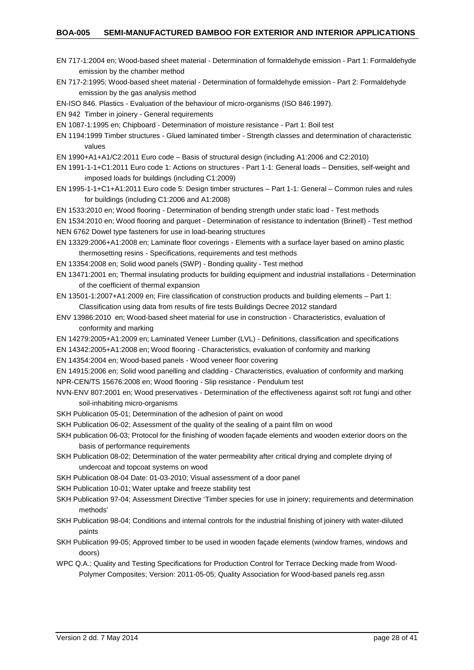- EN 717-1:2004 en; Wood-based sheet material Determination of formaldehyde emission Part 1: Formaldehyde emission by the chamber method
- EN 717-2:1995; Wood-based sheet material Determination of formaldehyde emission Part 2: Formaldehyde emission by the gas analysis method
- EN-ISO 846. Plastics Evaluation of the behaviour of micro-organisms (ISO 846:1997).
- EN 942 Timber in joinery General requirements
- EN 1087-1:1995 en; Chipboard Determination of moisture resistance Part 1: Boil test
- EN 1194:1999 Timber structures Glued laminated timber Strength classes and determination of characteristic values
- EN 1990+A1+A1/C2:2011 Euro code Basis of structural design (including A1:2006 and C2:2010)
- EN 1991-1-1+C1:2011 Euro code 1: Actions on structures Part 1-1: General loads Densities, self-weight and imposed loads for buildings (including C1:2009)
- EN 1995-1-1+C1+A1:2011 Euro code 5: Design timber structures Part 1-1: General Common rules and rules for buildings (including C1:2006 and A1:2008)
- EN 1533:2010 en; Wood flooring Determination of bending strength under static load Test methods
- EN 1534:2010 en; Wood flooring and parquet Determination of resistance to indentation (Brinell) Test method NEN 6762 Dowel type fasteners for use in load-bearing structures
- EN 13329:2006+A1:2008 en; Laminate floor coverings Elements with a surface layer based on amino plastic thermosetting resins - Specifications, requirements and test methods
- EN 13354:2008 en; Solid wood panels (SWP) Bonding quality Test method
- EN 13471:2001 en; Thermal insulating products for building equipment and industrial installations Determination of the coefficient of thermal expansion
- EN 13501-1:2007+A1:2009 en; Fire classification of construction products and building elements Part 1: Classification using data from results of fire tests Buildings Decree 2012 standard
- ENV 13986:2010 en; Wood-based sheet material for use in construction Characteristics, evaluation of conformity and marking
- EN 14279:2005+A1:2009 en; Laminated Veneer Lumber (LVL) Definitions, classification and specifications
- EN 14342:2005+A1:2008 en; Wood flooring Characteristics, evaluation of conformity and marking
- EN 14354:2004 en; Wood-based panels Wood veneer floor covering

EN 14915:2006 en; Solid wood panelling and cladding - Characteristics, evaluation of conformity and marking NPR-CEN/TS 15676:2008 en; Wood flooring - Slip resistance - Pendulum test

- NVN-ENV 807:2001 en; Wood preservatives Determination of the effectiveness against soft rot fungi and other soil-inhabiting micro-organisms
- SKH Publication 05-01; Determination of the adhesion of paint on wood
- SKH Publication 06-02; Assessment of the quality of the sealing of a paint film on wood
- SKH publication 06-03; Protocol for the finishing of wooden façade elements and wooden exterior doors on the basis of performance requirements
- SKH Publication 08-02; Determination of the water permeability after critical drying and complete drying of undercoat and topcoat systems on wood
- SKH Publication 08-04 Date: 01-03-2010; Visual assessment of a door panel
- SKH Publication 10-01; Water uptake and freeze stability test
- SKH Publication 97-04; Assessment Directive 'Timber species for use in joinery; requirements and determination methods'
- SKH Publication 98-04; Conditions and internal controls for the industrial finishing of joinery with water-diluted paints
- SKH Publication 99-05; Approved timber to be used in wooden façade elements (window frames, windows and doors)
- WPC Q.A.; Quality and Testing Specifications for Production Control for Terrace Decking made from Wood-Polymer Composites; Version: 2011-05-05; Quality Association for Wood-based panels reg.assn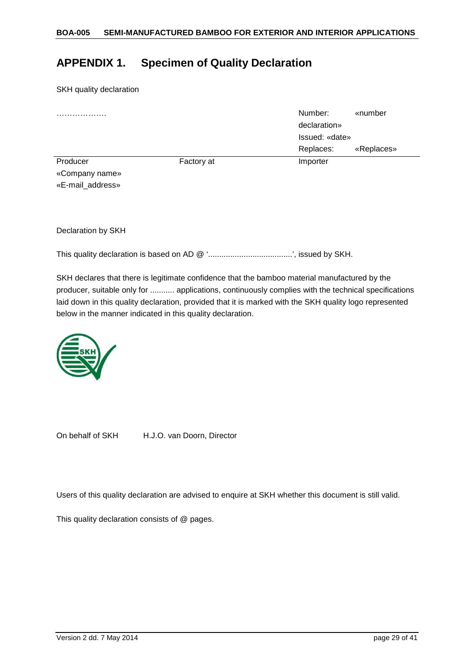## <span id="page-28-0"></span>**APPENDIX 1. Specimen of Quality Declaration**

SKH quality declaration

| .                |            | Number:        | «number    |
|------------------|------------|----------------|------------|
|                  |            | declaration»   |            |
|                  |            | Issued: «date» |            |
|                  |            | Replaces:      | «Replaces» |
| Producer         | Factory at | Importer       |            |
| «Company name»   |            |                |            |
| «E-mail_address» |            |                |            |

Declaration by SKH

This quality declaration is based on AD @ '......................................', issued by SKH.

SKH declares that there is legitimate confidence that the bamboo material manufactured by the producer, suitable only for ........... applications, continuously complies with the technical specifications laid down in this quality declaration, provided that it is marked with the SKH quality logo represented below in the manner indicated in this quality declaration.

![](_page_28_Picture_7.jpeg)

On behalf of SKH H.J.O. van Doorn, Director

Users of this quality declaration are advised to enquire at SKH whether this document is still valid.

This quality declaration consists of @ pages.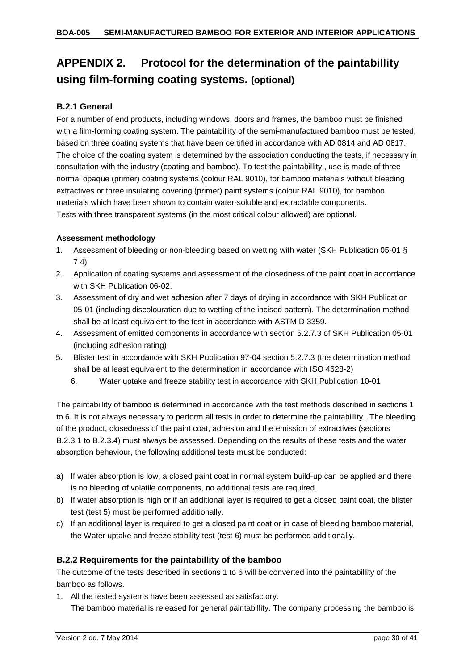# <span id="page-29-0"></span>**APPENDIX 2. Protocol for the determination of the paintabillity using film-forming coating systems. (optional)**

## <span id="page-29-1"></span>**B.2.1 General**

For a number of end products, including windows, doors and frames, the bamboo must be finished with a film-forming coating system. The paintabillity of the semi-manufactured bamboo must be tested, based on three coating systems that have been certified in accordance with AD 0814 and AD 0817. The choice of the coating system is determined by the association conducting the tests, if necessary in consultation with the industry (coating and bamboo). To test the paintabillity , use is made of three normal opaque (primer) coating systems (colour RAL 9010), for bamboo materials without bleeding extractives or three insulating covering (primer) paint systems (colour RAL 9010), for bamboo materials which have been shown to contain water-soluble and extractable components. Tests with three transparent systems (in the most critical colour allowed) are optional.

#### **Assessment methodology**

- 1. Assessment of bleeding or non-bleeding based on wetting with water (SKH Publication 05-01 § 7.4)
- 2. Application of coating systems and assessment of the closedness of the paint coat in accordance with SKH Publication 06-02.
- 3. Assessment of dry and wet adhesion after 7 days of drying in accordance with SKH Publication 05-01 (including discolouration due to wetting of the incised pattern). The determination method shall be at least equivalent to the test in accordance with ASTM D 3359.
- 4. Assessment of emitted components in accordance with section 5.2.7.3 of SKH Publication 05-01 (including adhesion rating)
- 5. Blister test in accordance with SKH Publication 97-04 section 5.2.7.3 (the determination method shall be at least equivalent to the determination in accordance with ISO 4628-2)
	- 6. Water uptake and freeze stability test in accordance with SKH Publication 10-01

The paintabillity of bamboo is determined in accordance with the test methods described in sections 1 to 6. It is not always necessary to perform all tests in order to determine the paintabillity . The bleeding of the product, closedness of the paint coat, adhesion and the emission of extractives (sections B.2.3.1 to B.2.3.4) must always be assessed. Depending on the results of these tests and the water absorption behaviour, the following additional tests must be conducted:

- a) If water absorption is low, a closed paint coat in normal system build-up can be applied and there is no bleeding of volatile components, no additional tests are required.
- b) If water absorption is high or if an additional layer is required to get a closed paint coat, the blister test (test 5) must be performed additionally.
- c) If an additional layer is required to get a closed paint coat or in case of bleeding bamboo material, the Water uptake and freeze stability test (test 6) must be performed additionally.

## <span id="page-29-2"></span>**B.2.2 Requirements for the paintabillity of the bamboo**

The outcome of the tests described in sections 1 to 6 will be converted into the paintabillity of the bamboo as follows.

1. All the tested systems have been assessed as satisfactory. The bamboo material is released for general paintabillity. The company processing the bamboo is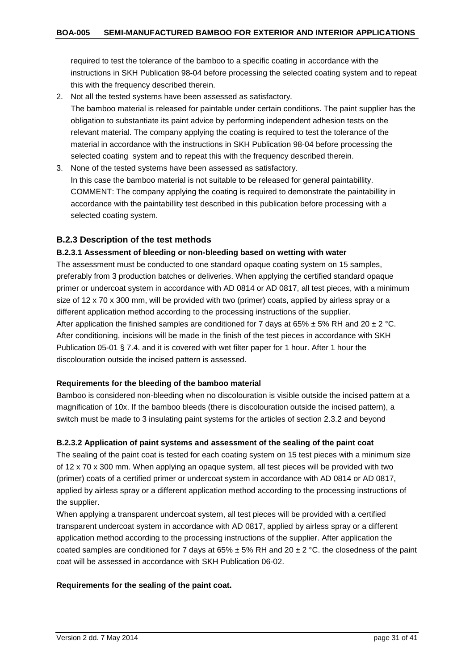required to test the tolerance of the bamboo to a specific coating in accordance with the instructions in SKH Publication 98-04 before processing the selected coating system and to repeat this with the frequency described therein.

2. Not all the tested systems have been assessed as satisfactory.

The bamboo material is released for paintable under certain conditions. The paint supplier has the obligation to substantiate its paint advice by performing independent adhesion tests on the relevant material. The company applying the coating is required to test the tolerance of the material in accordance with the instructions in SKH Publication 98-04 before processing the selected coating system and to repeat this with the frequency described therein.

3. None of the tested systems have been assessed as satisfactory. In this case the bamboo material is not suitable to be released for general paintabillity. COMMENT: The company applying the coating is required to demonstrate the paintabillity in accordance with the paintabillity test described in this publication before processing with a selected coating system.

## <span id="page-30-0"></span>**B.2.3 Description of the test methods**

#### <span id="page-30-1"></span>**B.2.3.1 Assessment of bleeding or non-bleeding based on wetting with water**

The assessment must be conducted to one standard opaque coating system on 15 samples, preferably from 3 production batches or deliveries. When applying the certified standard opaque primer or undercoat system in accordance with AD 0814 or AD 0817, all test pieces, with a minimum size of 12 x 70 x 300 mm, will be provided with two (primer) coats, applied by airless spray or a different application method according to the processing instructions of the supplier. After application the finished samples are conditioned for 7 days at 65%  $\pm$  5% RH and 20  $\pm$  2 °C. After conditioning, incisions will be made in the finish of the test pieces in accordance with SKH Publication 05-01 § 7.4. and it is covered with wet filter paper for 1 hour. After 1 hour the discolouration outside the incised pattern is assessed.

#### **Requirements for the bleeding of the bamboo material**

Bamboo is considered non-bleeding when no discolouration is visible outside the incised pattern at a magnification of 10x. If the bamboo bleeds (there is discolouration outside the incised pattern), a switch must be made to 3 insulating paint systems for the articles of section 2.3.2 and beyond

#### <span id="page-30-2"></span>**B.2.3.2 Application of paint systems and assessment of the sealing of the paint coat**

The sealing of the paint coat is tested for each coating system on 15 test pieces with a minimum size of 12 x 70 x 300 mm. When applying an opaque system, all test pieces will be provided with two (primer) coats of a certified primer or undercoat system in accordance with AD 0814 or AD 0817, applied by airless spray or a different application method according to the processing instructions of the supplier.

When applying a transparent undercoat system, all test pieces will be provided with a certified transparent undercoat system in accordance with AD 0817, applied by airless spray or a different application method according to the processing instructions of the supplier. After application the coated samples are conditioned for 7 days at 65%  $\pm$  5% RH and 20  $\pm$  2 °C. the closedness of the paint coat will be assessed in accordance with SKH Publication 06-02.

#### **Requirements for the sealing of the paint coat.**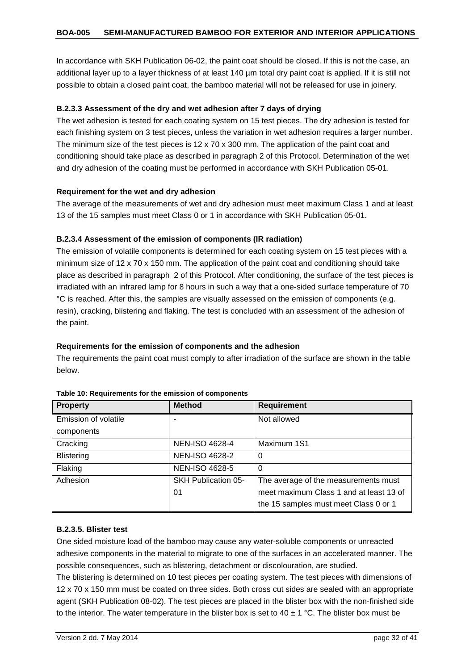In accordance with SKH Publication 06-02, the paint coat should be closed. If this is not the case, an additional layer up to a layer thickness of at least 140 µm total dry paint coat is applied. If it is still not possible to obtain a closed paint coat, the bamboo material will not be released for use in joinery.

## <span id="page-31-0"></span>**B.2.3.3 Assessment of the dry and wet adhesion after 7 days of drying**

The wet adhesion is tested for each coating system on 15 test pieces. The dry adhesion is tested for each finishing system on 3 test pieces, unless the variation in wet adhesion requires a larger number. The minimum size of the test pieces is  $12 \times 70 \times 300$  mm. The application of the paint coat and conditioning should take place as described in paragraph 2 of this Protocol. Determination of the wet and dry adhesion of the coating must be performed in accordance with SKH Publication 05-01.

#### **Requirement for the wet and dry adhesion**

The average of the measurements of wet and dry adhesion must meet maximum Class 1 and at least 13 of the 15 samples must meet Class 0 or 1 in accordance with SKH Publication 05-01.

## <span id="page-31-1"></span>**B.2.3.4 Assessment of the emission of components (IR radiation)**

The emission of volatile components is determined for each coating system on 15 test pieces with a minimum size of 12 x 70 x 150 mm. The application of the paint coat and conditioning should take place as described in paragraph 2 of this Protocol. After conditioning, the surface of the test pieces is irradiated with an infrared lamp for 8 hours in such a way that a one-sided surface temperature of 70 °C is reached. After this, the samples are visually assessed on the emission of components (e.g. resin), cracking, blistering and flaking. The test is concluded with an assessment of the adhesion of the paint.

#### **Requirements for the emission of components and the adhesion**

The requirements the paint coat must comply to after irradiation of the surface are shown in the table below.

| <b>Property</b>      | <b>Method</b>              | <b>Requirement</b>                      |
|----------------------|----------------------------|-----------------------------------------|
| Emission of volatile |                            | Not allowed                             |
| components           |                            |                                         |
| Cracking             | <b>NEN-ISO 4628-4</b>      | Maximum 1S1                             |
| <b>Blistering</b>    | <b>NEN-ISO 4628-2</b>      | 0                                       |
| Flaking              | <b>NEN-ISO 4628-5</b>      | $\Omega$                                |
| Adhesion             | <b>SKH Publication 05-</b> | The average of the measurements must    |
|                      | 01                         | meet maximum Class 1 and at least 13 of |
|                      |                            | the 15 samples must meet Class 0 or 1   |

|  |  | Table 10: Requirements for the emission of components |  |  |  |  |  |
|--|--|-------------------------------------------------------|--|--|--|--|--|
|--|--|-------------------------------------------------------|--|--|--|--|--|

#### <span id="page-31-2"></span>**B.2.3.5. Blister test**

One sided moisture load of the bamboo may cause any water-soluble components or unreacted adhesive components in the material to migrate to one of the surfaces in an accelerated manner. The possible consequences, such as blistering, detachment or discolouration, are studied.

The blistering is determined on 10 test pieces per coating system. The test pieces with dimensions of 12 x 70 x 150 mm must be coated on three sides. Both cross cut sides are sealed with an appropriate agent (SKH Publication 08-02). The test pieces are placed in the blister box with the non-finished side to the interior. The water temperature in the blister box is set to  $40 \pm 1$  °C. The blister box must be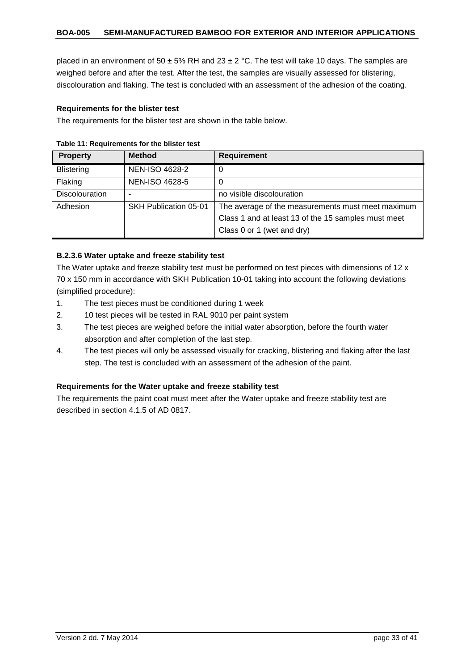placed in an environment of 50  $\pm$  5% RH and 23  $\pm$  2 °C. The test will take 10 days. The samples are weighed before and after the test. After the test, the samples are visually assessed for blistering, discolouration and flaking. The test is concluded with an assessment of the adhesion of the coating.

#### **Requirements for the blister test**

The requirements for the blister test are shown in the table below.

| <b>Property</b>       | <b>Method</b>         | <b>Requirement</b>                                  |
|-----------------------|-----------------------|-----------------------------------------------------|
| <b>Blistering</b>     | <b>NEN-ISO 4628-2</b> | 0                                                   |
| Flaking               | <b>NEN-ISO 4628-5</b> |                                                     |
| <b>Discolouration</b> | ۰                     | no visible discolouration                           |
| Adhesion              | SKH Publication 05-01 | The average of the measurements must meet maximum   |
|                       |                       | Class 1 and at least 13 of the 15 samples must meet |
|                       |                       | Class 0 or 1 (wet and dry)                          |

#### **Table 11: Requirements for the blister test**

## <span id="page-32-0"></span>**B.2.3.6 Water uptake and freeze stability test**

The Water uptake and freeze stability test must be performed on test pieces with dimensions of 12 x 70 x 150 mm in accordance with SKH Publication 10-01 taking into account the following deviations (simplified procedure):

- 1. The test pieces must be conditioned during 1 week
- 2. 10 test pieces will be tested in RAL 9010 per paint system
- 3. The test pieces are weighed before the initial water absorption, before the fourth water absorption and after completion of the last step.
- 4. The test pieces will only be assessed visually for cracking, blistering and flaking after the last step. The test is concluded with an assessment of the adhesion of the paint.

## **Requirements for the Water uptake and freeze stability test**

The requirements the paint coat must meet after the Water uptake and freeze stability test are described in section 4.1.5 of AD 0817.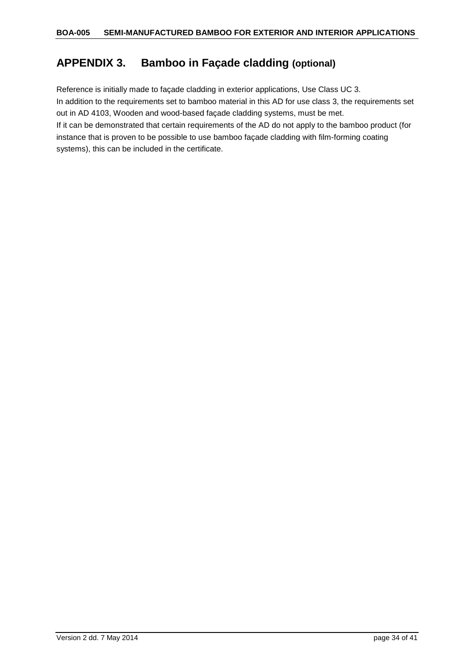## <span id="page-33-0"></span>**APPENDIX 3. Bamboo in Façade cladding (optional)**

Reference is initially made to façade cladding in exterior applications, Use Class UC 3. In addition to the requirements set to bamboo material in this AD for use class 3, the requirements set out in AD 4103, Wooden and wood-based façade cladding systems, must be met. If it can be demonstrated that certain requirements of the AD do not apply to the bamboo product (for instance that is proven to be possible to use bamboo façade cladding with film-forming coating systems), this can be included in the certificate.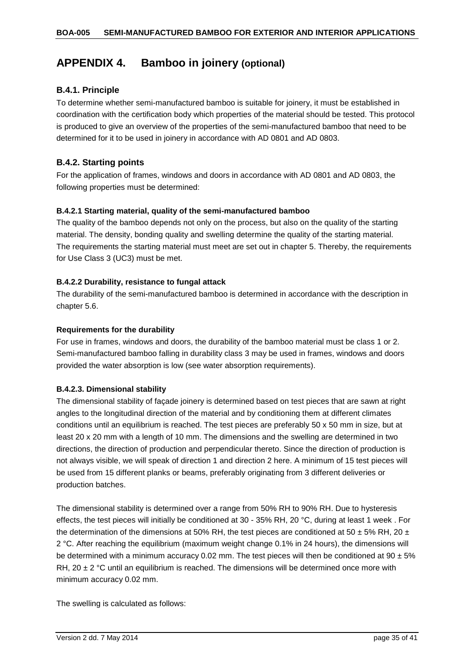## <span id="page-34-0"></span>**APPENDIX 4. Bamboo in joinery (optional)**

## <span id="page-34-1"></span>**B.4.1. Principle**

To determine whether semi-manufactured bamboo is suitable for joinery, it must be established in coordination with the certification body which properties of the material should be tested. This protocol is produced to give an overview of the properties of the semi-manufactured bamboo that need to be determined for it to be used in joinery in accordance with AD 0801 and AD 0803.

## <span id="page-34-2"></span>**B.4.2. Starting points**

For the application of frames, windows and doors in accordance with AD 0801 and AD 0803, the following properties must be determined:

## <span id="page-34-3"></span>**B.4.2.1 Starting material, quality of the semi-manufactured bamboo**

The quality of the bamboo depends not only on the process, but also on the quality of the starting material. The density, bonding quality and swelling determine the quality of the starting material. The requirements the starting material must meet are set out in chapter 5. Thereby, the requirements for Use Class 3 (UC3) must be met.

## <span id="page-34-4"></span>**B.4.2.2 Durability, resistance to fungal attack**

The durability of the semi-manufactured bamboo is determined in accordance with the description in chapter 5.6.

## **Requirements for the durability**

For use in frames, windows and doors, the durability of the bamboo material must be class 1 or 2. Semi-manufactured bamboo falling in durability class 3 may be used in frames, windows and doors provided the water absorption is low (see water absorption requirements).

#### <span id="page-34-5"></span>**B.4.2.3. Dimensional stability**

The dimensional stability of façade joinery is determined based on test pieces that are sawn at right angles to the longitudinal direction of the material and by conditioning them at different climates conditions until an equilibrium is reached. The test pieces are preferably 50 x 50 mm in size, but at least 20 x 20 mm with a length of 10 mm. The dimensions and the swelling are determined in two directions, the direction of production and perpendicular thereto. Since the direction of production is not always visible, we will speak of direction 1 and direction 2 here. A minimum of 15 test pieces will be used from 15 different planks or beams, preferably originating from 3 different deliveries or production batches.

The dimensional stability is determined over a range from 50% RH to 90% RH. Due to hysteresis effects, the test pieces will initially be conditioned at 30 - 35% RH, 20 °C, during at least 1 week . For the determination of the dimensions at 50% RH, the test pieces are conditioned at 50  $\pm$  5% RH, 20  $\pm$ 2 °C. After reaching the equilibrium (maximum weight change 0.1% in 24 hours), the dimensions will be determined with a minimum accuracy 0.02 mm. The test pieces will then be conditioned at  $90 \pm 5\%$ RH,  $20 \pm 2$  °C until an equilibrium is reached. The dimensions will be determined once more with minimum accuracy 0.02 mm.

The swelling is calculated as follows: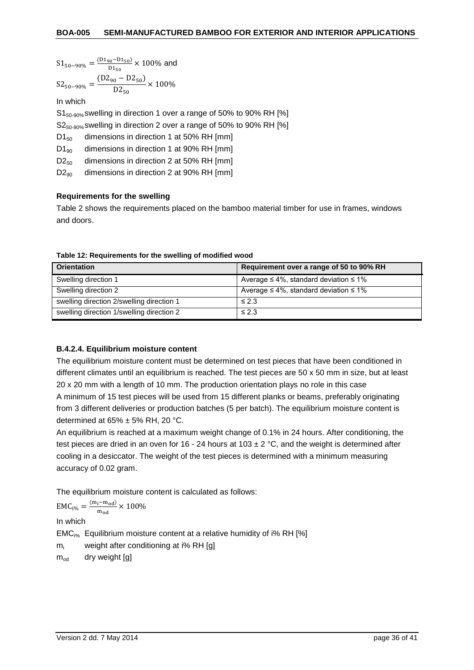$$
S1_{50-90\%}=\frac{\text{(D1}_{90}-\text{D1}_{50})}{\text{D1}_{50}}\times100\%\text{ and }
$$

$$
S2_{50-90\%} = \frac{(D2_{90} - D2_{50})}{D2_{50}} \times 100\%
$$

In which

S1<sub>50-90%</sub> swelling in direction 1 over a range of 50% to 90% RH [%]

S2<sub>50-90%</sub> swelling in direction 2 over a range of 50% to 90% RH [%]

D<sub>150</sub> dimensions in direction 1 at 50% RH [mm]

 $D1_{90}$  dimensions in direction 1 at 90% RH [mm]

 $D2_{50}$  dimensions in direction 2 at 50% RH [mm]

 $D2_{90}$  dimensions in direction 2 at 90% RH [mm]

## **Requirements for the swelling**

Table 2 shows the requirements placed on the bamboo material timber for use in frames, windows and doors.

| <b>Orientation</b>                        | Requirement over a range of 50 to 90% RH           |
|-------------------------------------------|----------------------------------------------------|
| Swelling direction 1                      | Average $\leq 4\%$ , standard deviation $\leq 1\%$ |
| Swelling direction 2                      | Average $\leq 4\%$ , standard deviation $\leq 1\%$ |
| swelling direction 2/swelling direction 1 | $\leq 2.3$                                         |
| swelling direction 1/swelling direction 2 | $\leq 2.3$                                         |

**Table 12: Requirements for the swelling of modified wood**

#### <span id="page-35-0"></span>**B.4.2.4. Equilibrium moisture content**

The equilibrium moisture content must be determined on test pieces that have been conditioned in different climates until an equilibrium is reached. The test pieces are 50 x 50 mm in size, but at least 20 x 20 mm with a length of 10 mm. The production orientation plays no role in this case A minimum of 15 test pieces will be used from 15 different planks or beams, preferably originating from 3 different deliveries or production batches (5 per batch). The equilibrium moisture content is determined at  $65\% \pm 5\%$  RH, 20 °C.

An equilibrium is reached at a maximum weight change of 0.1% in 24 hours. After conditioning, the test pieces are dried in an oven for 16 - 24 hours at 103  $\pm$  2 °C, and the weight is determined after cooling in a desiccator. The weight of the test pieces is determined with a minimum measuring accuracy of 0.02 gram.

The equilibrium moisture content is calculated as follows:

$$
EMC_{i\%} = \frac{(m_i - m_{od})}{m_{od}} \times 100\%
$$

In which

EMCi% Equilibrium moisture content at a relative humidity of i% RH [%]

 $m<sub>i</sub>$  weight after conditioning at i% RH [g]

 $m_{od}$  dry weight [g]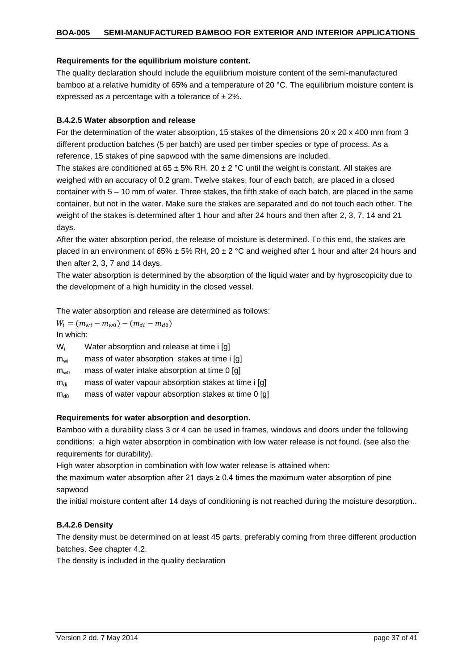#### **Requirements for the equilibrium moisture content.**

The quality declaration should include the equilibrium moisture content of the semi-manufactured bamboo at a relative humidity of 65% and a temperature of 20 °C. The equilibrium moisture content is expressed as a percentage with a tolerance of  $\pm 2\%$ .

#### <span id="page-36-0"></span>**B.4.2.5 Water absorption and release**

For the determination of the water absorption, 15 stakes of the dimensions 20 x 20 x 400 mm from 3 different production batches (5 per batch) are used per timber species or type of process. As a reference, 15 stakes of pine sapwood with the same dimensions are included.

The stakes are conditioned at  $65 \pm 5\%$  RH,  $20 \pm 2$  °C until the weight is constant. All stakes are weighed with an accuracy of 0.2 gram. Twelve stakes, four of each batch, are placed in a closed container with 5 – 10 mm of water. Three stakes, the fifth stake of each batch, are placed in the same container, but not in the water. Make sure the stakes are separated and do not touch each other. The weight of the stakes is determined after 1 hour and after 24 hours and then after 2, 3, 7, 14 and 21 days.

After the water absorption period, the release of moisture is determined. To this end, the stakes are placed in an environment of 65%  $\pm$  5% RH, 20  $\pm$  2 °C and weighed after 1 hour and after 24 hours and then after 2, 3, 7 and 14 days.

The water absorption is determined by the absorption of the liquid water and by hygroscopicity due to the development of a high humidity in the closed vessel.

The water absorption and release are determined as follows:

 $W_i = ( m_{wi} - m_{w0}) - ( m_{di} - m_{d0})$ In which:

| $W_i$ |  | Water absorption and release at time i [g] |  |  |  |  |
|-------|--|--------------------------------------------|--|--|--|--|
|-------|--|--------------------------------------------|--|--|--|--|

- $m_{wi}$  mass of water absorption stakes at time i [g]
- $m_{w0}$  mass of water intake absorption at time 0 [g]
- $m_{di}$  mass of water vapour absorption stakes at time i [g]
- $m_{d0}$  mass of water vapour absorption stakes at time 0 [g]

#### **Requirements for water absorption and desorption.**

Bamboo with a durability class 3 or 4 can be used in frames, windows and doors under the following conditions: a high water absorption in combination with low water release is not found. (see also the requirements for durability).

High water absorption in combination with low water release is attained when:

the maximum water absorption after 21 days  $\geq$  0.4 times the maximum water absorption of pine sapwood

the initial moisture content after 14 days of conditioning is not reached during the moisture desorption..

#### <span id="page-36-1"></span>**B.4.2.6 Density**

The density must be determined on at least 45 parts, preferably coming from three different production batches. See chapter 4.2.

The density is included in the quality declaration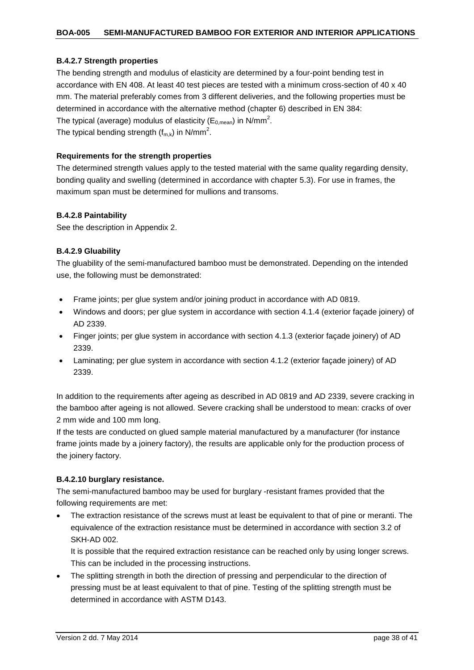#### <span id="page-37-0"></span>**B.4.2.7 Strength properties**

The bending strength and modulus of elasticity are determined by a four-point bending test in accordance with EN 408. At least 40 test pieces are tested with a minimum cross-section of 40 x 40 mm. The material preferably comes from 3 different deliveries, and the following properties must be determined in accordance with the alternative method (chapter 6) described in EN 384: The typical (average) modulus of elasticity (E<sub>0,mean</sub>) in N/mm<sup>2</sup>. The typical bending strength ( $f_{m,k}$ ) in N/mm<sup>2</sup>.

#### **Requirements for the strength properties**

The determined strength values apply to the tested material with the same quality regarding density, bonding quality and swelling (determined in accordance with chapter 5.3). For use in frames, the maximum span must be determined for mullions and transoms.

#### <span id="page-37-1"></span>**B.4.2.8 Paintability**

See the description in Appendix 2.

#### <span id="page-37-2"></span>**B.4.2.9 Gluability**

The gluability of the semi-manufactured bamboo must be demonstrated. Depending on the intended use, the following must be demonstrated:

- Frame joints; per glue system and/or joining product in accordance with AD 0819.
- Windows and doors; per glue system in accordance with section 4.1.4 (exterior façade joinery) of AD 2339.
- Finger joints; per glue system in accordance with section 4.1.3 (exterior façade joinery) of AD 2339.
- Laminating; per glue system in accordance with section 4.1.2 (exterior façade joinery) of AD 2339.

In addition to the requirements after ageing as described in AD 0819 and AD 2339, severe cracking in the bamboo after ageing is not allowed. Severe cracking shall be understood to mean: cracks of over 2 mm wide and 100 mm long.

If the tests are conducted on glued sample material manufactured by a manufacturer (for instance frame joints made by a joinery factory), the results are applicable only for the production process of the joinery factory.

#### <span id="page-37-3"></span>**B.4.2.10 burglary resistance.**

The semi-manufactured bamboo may be used for burglary -resistant frames provided that the following requirements are met:

The extraction resistance of the screws must at least be equivalent to that of pine or meranti. The equivalence of the extraction resistance must be determined in accordance with section 3.2 of SKH-AD 002.

It is possible that the required extraction resistance can be reached only by using longer screws. This can be included in the processing instructions.

• The splitting strength in both the direction of pressing and perpendicular to the direction of pressing must be at least equivalent to that of pine. Testing of the splitting strength must be determined in accordance with ASTM D143.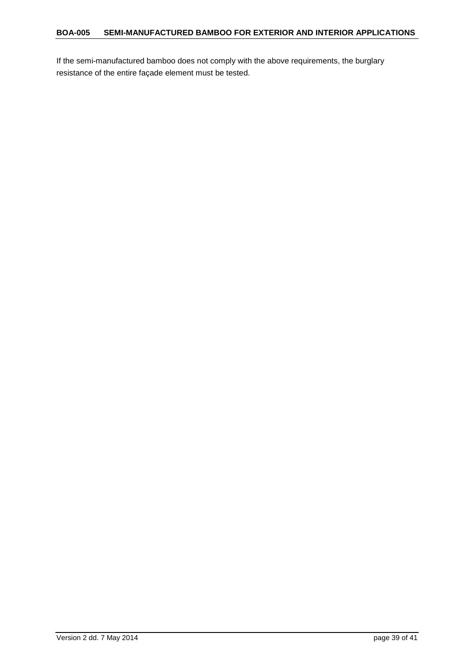If the semi-manufactured bamboo does not comply with the above requirements, the burglary resistance of the entire façade element must be tested.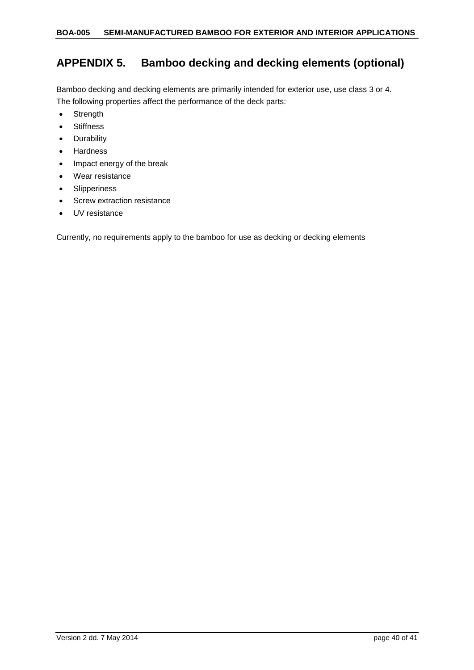## <span id="page-39-0"></span>**APPENDIX 5. Bamboo decking and decking elements (optional)**

Bamboo decking and decking elements are primarily intended for exterior use, use class 3 or 4. The following properties affect the performance of the deck parts:

- Strength
- Stiffness
- Durability
- Hardness
- Impact energy of the break
- Wear resistance
- Slipperiness
- Screw extraction resistance
- UV resistance

Currently, no requirements apply to the bamboo for use as decking or decking elements